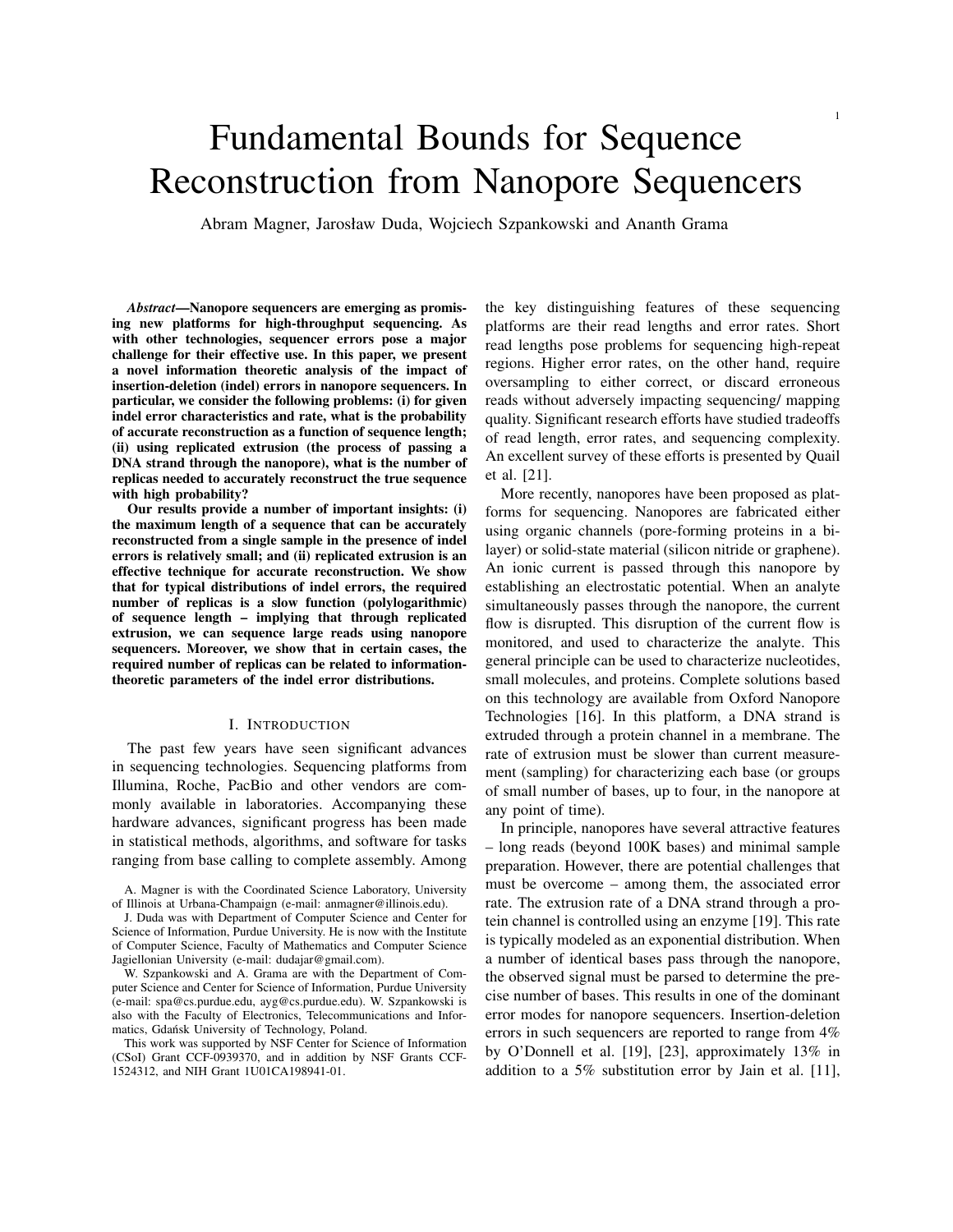# Fundamental Bounds for Sequence Reconstruction from Nanopore Sequencers

Abram Magner, Jarosław Duda, Wojciech Szpankowski and Ananth Grama

*Abstract*—Nanopore sequencers are emerging as promising new platforms for high-throughput sequencing. As with other technologies, sequencer errors pose a major challenge for their effective use. In this paper, we present a novel information theoretic analysis of the impact of insertion-deletion (indel) errors in nanopore sequencers. In particular, we consider the following problems: (i) for given indel error characteristics and rate, what is the probability of accurate reconstruction as a function of sequence length; (ii) using replicated extrusion (the process of passing a DNA strand through the nanopore), what is the number of replicas needed to accurately reconstruct the true sequence with high probability?

Our results provide a number of important insights: (i) the maximum length of a sequence that can be accurately reconstructed from a single sample in the presence of indel errors is relatively small; and (ii) replicated extrusion is an effective technique for accurate reconstruction. We show that for typical distributions of indel errors, the required number of replicas is a slow function (polylogarithmic) of sequence length – implying that through replicated extrusion, we can sequence large reads using nanopore sequencers. Moreover, we show that in certain cases, the required number of replicas can be related to informationtheoretic parameters of the indel error distributions.

#### I. INTRODUCTION

The past few years have seen significant advances in sequencing technologies. Sequencing platforms from Illumina, Roche, PacBio and other vendors are commonly available in laboratories. Accompanying these hardware advances, significant progress has been made in statistical methods, algorithms, and software for tasks ranging from base calling to complete assembly. Among

W. Szpankowski and A. Grama are with the Department of Computer Science and Center for Science of Information, Purdue University (e-mail: spa@cs.purdue.edu, ayg@cs.purdue.edu). W. Szpankowski is also with the Faculty of Electronics, Telecommunications and Informatics, Gdańsk University of Technology, Poland.

This work was supported by NSF Center for Science of Information (CSoI) Grant CCF-0939370, and in addition by NSF Grants CCF-1524312, and NIH Grant 1U01CA198941-01.

the key distinguishing features of these sequencing platforms are their read lengths and error rates. Short read lengths pose problems for sequencing high-repeat regions. Higher error rates, on the other hand, require oversampling to either correct, or discard erroneous reads without adversely impacting sequencing/ mapping quality. Significant research efforts have studied tradeoffs of read length, error rates, and sequencing complexity. An excellent survey of these efforts is presented by Quail et al. [21].

More recently, nanopores have been proposed as platforms for sequencing. Nanopores are fabricated either using organic channels (pore-forming proteins in a bilayer) or solid-state material (silicon nitride or graphene). An ionic current is passed through this nanopore by establishing an electrostatic potential. When an analyte simultaneously passes through the nanopore, the current flow is disrupted. This disruption of the current flow is monitored, and used to characterize the analyte. This general principle can be used to characterize nucleotides, small molecules, and proteins. Complete solutions based on this technology are available from Oxford Nanopore Technologies [16]. In this platform, a DNA strand is extruded through a protein channel in a membrane. The rate of extrusion must be slower than current measurement (sampling) for characterizing each base (or groups of small number of bases, up to four, in the nanopore at any point of time).

In principle, nanopores have several attractive features – long reads (beyond 100K bases) and minimal sample preparation. However, there are potential challenges that must be overcome – among them, the associated error rate. The extrusion rate of a DNA strand through a protein channel is controlled using an enzyme [19]. This rate is typically modeled as an exponential distribution. When a number of identical bases pass through the nanopore, the observed signal must be parsed to determine the precise number of bases. This results in one of the dominant error modes for nanopore sequencers. Insertion-deletion errors in such sequencers are reported to range from 4% by O'Donnell et al. [19], [23], approximately 13% in addition to a 5% substitution error by Jain et al. [11],

A. Magner is with the Coordinated Science Laboratory, University of Illinois at Urbana-Champaign (e-mail: anmagner@illinois.edu).

J. Duda was with Department of Computer Science and Center for Science of Information, Purdue University. He is now with the Institute of Computer Science, Faculty of Mathematics and Computer Science Jagiellonian University (e-mail: dudajar@gmail.com).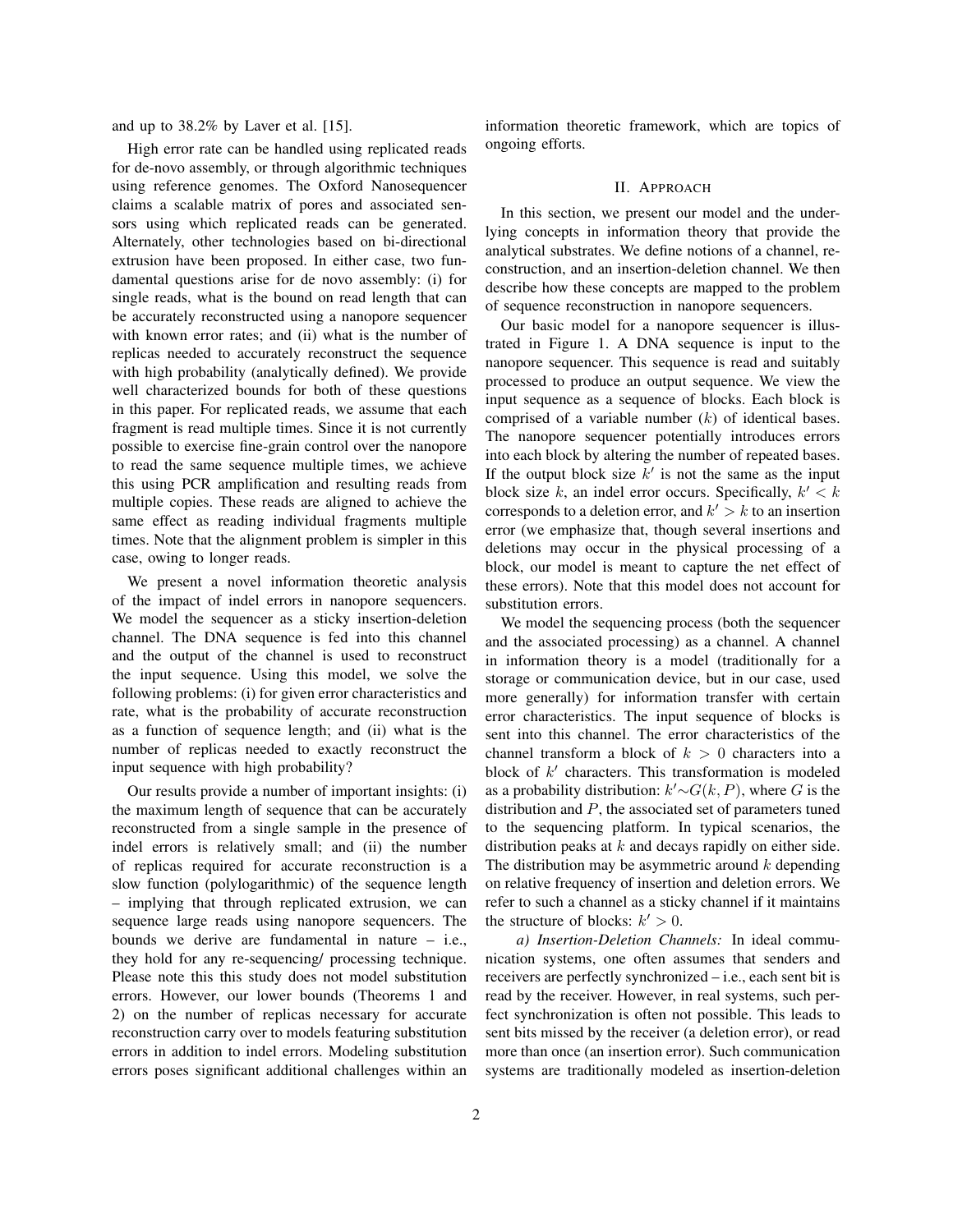and up to 38.2% by Laver et al. [15].

High error rate can be handled using replicated reads for de-novo assembly, or through algorithmic techniques using reference genomes. The Oxford Nanosequencer claims a scalable matrix of pores and associated sensors using which replicated reads can be generated. Alternately, other technologies based on bi-directional extrusion have been proposed. In either case, two fundamental questions arise for de novo assembly: (i) for single reads, what is the bound on read length that can be accurately reconstructed using a nanopore sequencer with known error rates; and (ii) what is the number of replicas needed to accurately reconstruct the sequence with high probability (analytically defined). We provide well characterized bounds for both of these questions in this paper. For replicated reads, we assume that each fragment is read multiple times. Since it is not currently possible to exercise fine-grain control over the nanopore to read the same sequence multiple times, we achieve this using PCR amplification and resulting reads from multiple copies. These reads are aligned to achieve the same effect as reading individual fragments multiple times. Note that the alignment problem is simpler in this case, owing to longer reads.

We present a novel information theoretic analysis of the impact of indel errors in nanopore sequencers. We model the sequencer as a sticky insertion-deletion channel. The DNA sequence is fed into this channel and the output of the channel is used to reconstruct the input sequence. Using this model, we solve the following problems: (i) for given error characteristics and rate, what is the probability of accurate reconstruction as a function of sequence length; and (ii) what is the number of replicas needed to exactly reconstruct the input sequence with high probability?

Our results provide a number of important insights: (i) the maximum length of sequence that can be accurately reconstructed from a single sample in the presence of indel errors is relatively small; and (ii) the number of replicas required for accurate reconstruction is a slow function (polylogarithmic) of the sequence length – implying that through replicated extrusion, we can sequence large reads using nanopore sequencers. The bounds we derive are fundamental in nature – i.e., they hold for any re-sequencing/ processing technique. Please note this this study does not model substitution errors. However, our lower bounds (Theorems 1 and 2) on the number of replicas necessary for accurate reconstruction carry over to models featuring substitution errors in addition to indel errors. Modeling substitution errors poses significant additional challenges within an

information theoretic framework, which are topics of ongoing efforts.

#### II. APPROACH

In this section, we present our model and the underlying concepts in information theory that provide the analytical substrates. We define notions of a channel, reconstruction, and an insertion-deletion channel. We then describe how these concepts are mapped to the problem of sequence reconstruction in nanopore sequencers.

Our basic model for a nanopore sequencer is illustrated in Figure 1. A DNA sequence is input to the nanopore sequencer. This sequence is read and suitably processed to produce an output sequence. We view the input sequence as a sequence of blocks. Each block is comprised of a variable number  $(k)$  of identical bases. The nanopore sequencer potentially introduces errors into each block by altering the number of repeated bases. If the output block size  $k'$  is not the same as the input block size  $k$ , an indel error occurs. Specifically,  $k' < k$ corresponds to a deletion error, and  $k' > k$  to an insertion error (we emphasize that, though several insertions and deletions may occur in the physical processing of a block, our model is meant to capture the net effect of these errors). Note that this model does not account for substitution errors.

We model the sequencing process (both the sequencer and the associated processing) as a channel. A channel in information theory is a model (traditionally for a storage or communication device, but in our case, used more generally) for information transfer with certain error characteristics. The input sequence of blocks is sent into this channel. The error characteristics of the channel transform a block of  $k > 0$  characters into a block of  $k'$  characters. This transformation is modeled as a probability distribution:  $k' \sim G(k, P)$ , where G is the distribution and  $P$ , the associated set of parameters tuned to the sequencing platform. In typical scenarios, the distribution peaks at  $k$  and decays rapidly on either side. The distribution may be asymmetric around  $k$  depending on relative frequency of insertion and deletion errors. We refer to such a channel as a sticky channel if it maintains the structure of blocks:  $k' > 0$ .

*a) Insertion-Deletion Channels:* In ideal communication systems, one often assumes that senders and receivers are perfectly synchronized – i.e., each sent bit is read by the receiver. However, in real systems, such perfect synchronization is often not possible. This leads to sent bits missed by the receiver (a deletion error), or read more than once (an insertion error). Such communication systems are traditionally modeled as insertion-deletion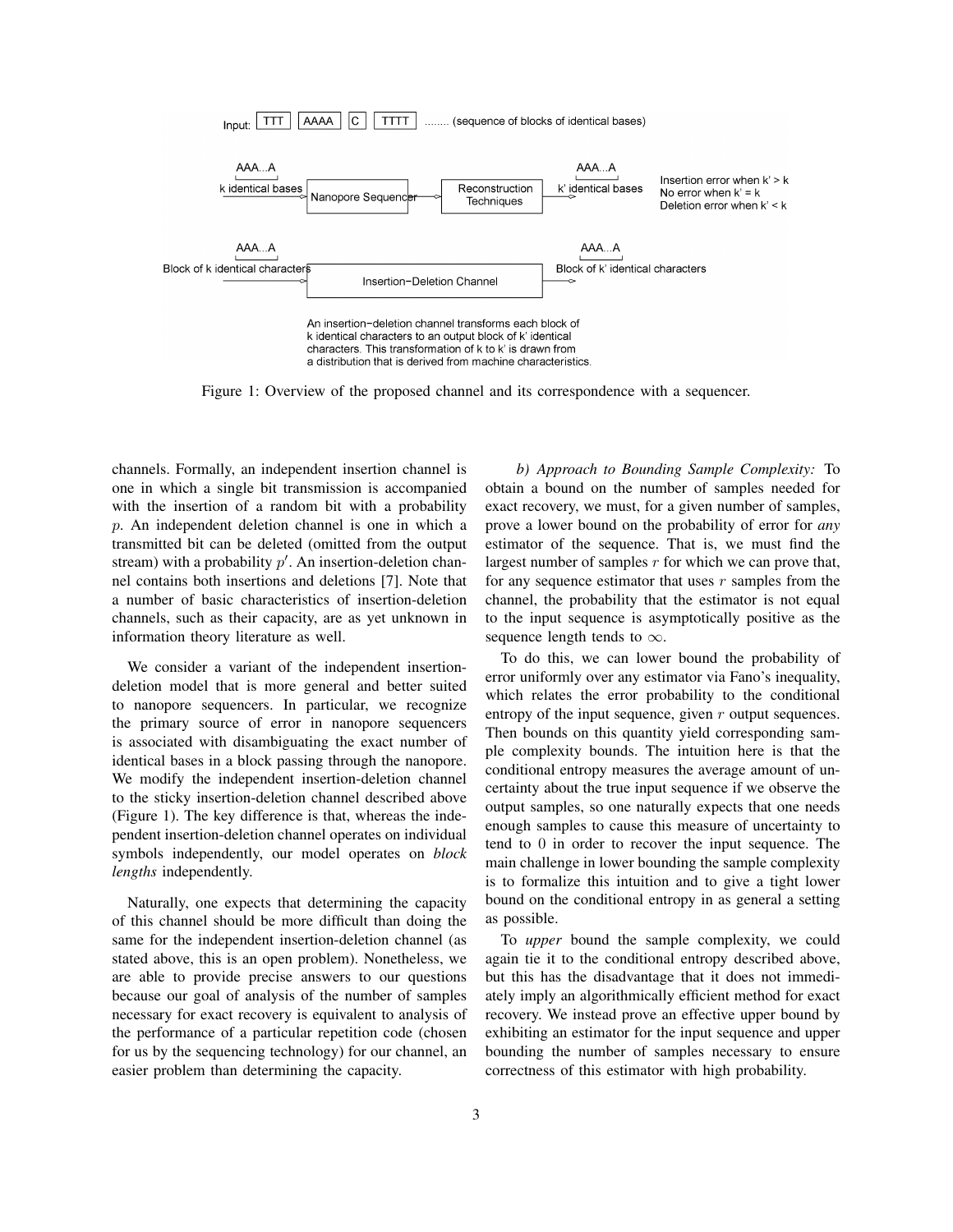

Figure 1: Overview of the proposed channel and its correspondence with a sequencer.

channels. Formally, an independent insertion channel is one in which a single bit transmission is accompanied with the insertion of a random bit with a probability p. An independent deletion channel is one in which a transmitted bit can be deleted (omitted from the output stream) with a probability  $p'$ . An insertion-deletion channel contains both insertions and deletions [7]. Note that a number of basic characteristics of insertion-deletion channels, such as their capacity, are as yet unknown in information theory literature as well.

We consider a variant of the independent insertiondeletion model that is more general and better suited to nanopore sequencers. In particular, we recognize the primary source of error in nanopore sequencers is associated with disambiguating the exact number of identical bases in a block passing through the nanopore. We modify the independent insertion-deletion channel to the sticky insertion-deletion channel described above (Figure 1). The key difference is that, whereas the independent insertion-deletion channel operates on individual symbols independently, our model operates on *block lengths* independently.

Naturally, one expects that determining the capacity of this channel should be more difficult than doing the same for the independent insertion-deletion channel (as stated above, this is an open problem). Nonetheless, we are able to provide precise answers to our questions because our goal of analysis of the number of samples necessary for exact recovery is equivalent to analysis of the performance of a particular repetition code (chosen for us by the sequencing technology) for our channel, an easier problem than determining the capacity.

*b) Approach to Bounding Sample Complexity:* To obtain a bound on the number of samples needed for exact recovery, we must, for a given number of samples, prove a lower bound on the probability of error for *any* estimator of the sequence. That is, we must find the largest number of samples  $r$  for which we can prove that, for any sequence estimator that uses  $r$  samples from the channel, the probability that the estimator is not equal to the input sequence is asymptotically positive as the sequence length tends to  $\infty$ .

To do this, we can lower bound the probability of error uniformly over any estimator via Fano's inequality, which relates the error probability to the conditional entropy of the input sequence, given  $r$  output sequences. Then bounds on this quantity yield corresponding sample complexity bounds. The intuition here is that the conditional entropy measures the average amount of uncertainty about the true input sequence if we observe the output samples, so one naturally expects that one needs enough samples to cause this measure of uncertainty to tend to 0 in order to recover the input sequence. The main challenge in lower bounding the sample complexity is to formalize this intuition and to give a tight lower bound on the conditional entropy in as general a setting as possible.

To *upper* bound the sample complexity, we could again tie it to the conditional entropy described above, but this has the disadvantage that it does not immediately imply an algorithmically efficient method for exact recovery. We instead prove an effective upper bound by exhibiting an estimator for the input sequence and upper bounding the number of samples necessary to ensure correctness of this estimator with high probability.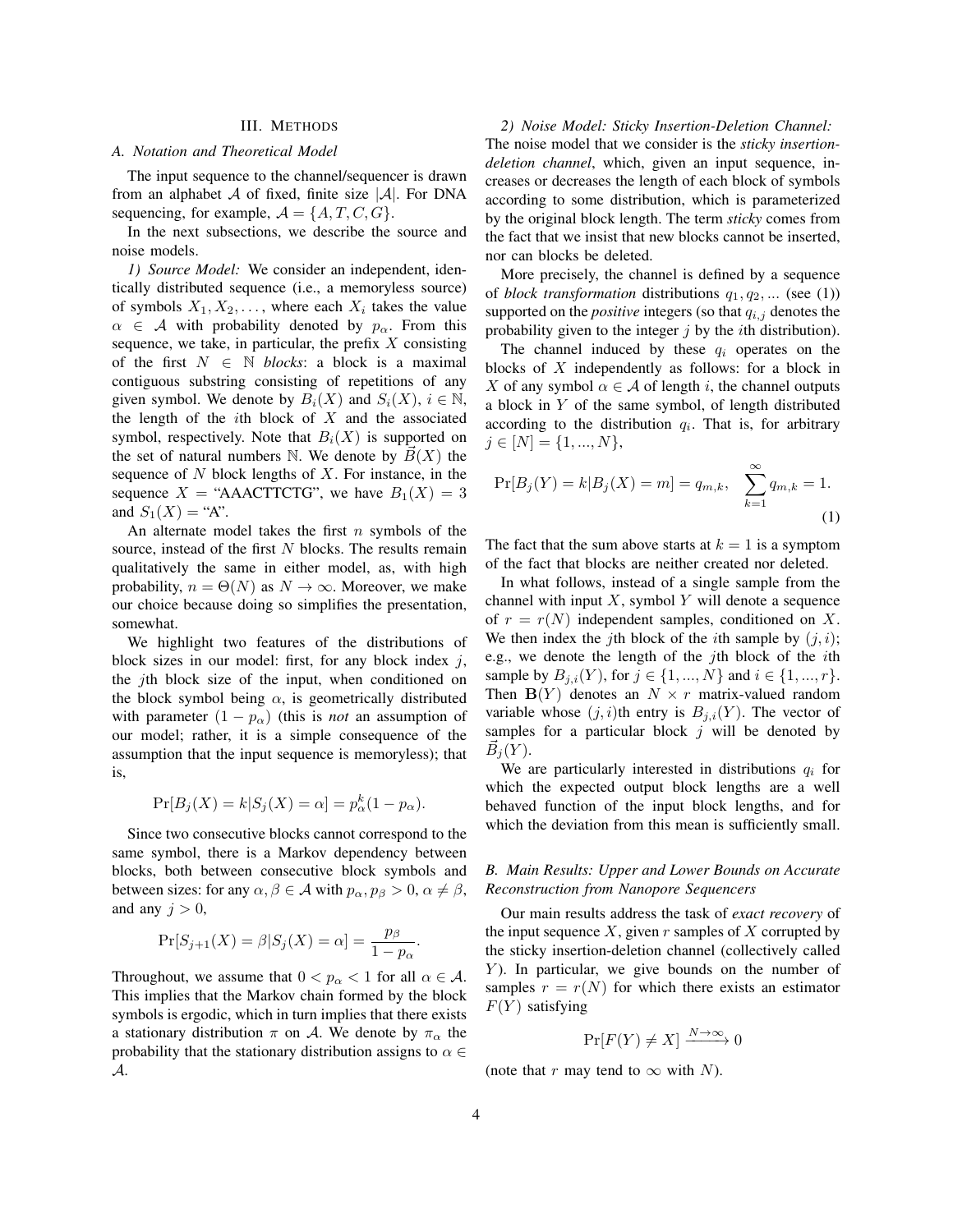#### III. METHODS

## *A. Notation and Theoretical Model*

The input sequence to the channel/sequencer is drawn from an alphabet  $A$  of fixed, finite size  $|A|$ . For DNA sequencing, for example,  $A = \{A, T, C, G\}.$ 

In the next subsections, we describe the source and noise models.

*1) Source Model:* We consider an independent, identically distributed sequence (i.e., a memoryless source) of symbols  $X_1, X_2, \ldots$ , where each  $X_i$  takes the value  $\alpha \in A$  with probability denoted by  $p_{\alpha}$ . From this sequence, we take, in particular, the prefix  $X$  consisting of the first  $N \in \mathbb{N}$  *blocks*: a block is a maximal contiguous substring consisting of repetitions of any given symbol. We denote by  $B_i(X)$  and  $S_i(X)$ ,  $i \in \mathbb{N}$ , the length of the  $i$ th block of  $X$  and the associated symbol, respectively. Note that  $B_i(X)$  is supported on the set of natural numbers N. We denote by  $B(X)$  the sequence of  $N$  block lengths of  $X$ . For instance, in the sequence  $X = "AAACTTCTG",$  we have  $B_1(X) = 3$ and  $S_1(X) = "A".$ 

An alternate model takes the first  $n$  symbols of the source, instead of the first N blocks. The results remain qualitatively the same in either model, as, with high probability,  $n = \Theta(N)$  as  $N \to \infty$ . Moreover, we make our choice because doing so simplifies the presentation, somewhat.

We highlight two features of the distributions of block sizes in our model: first, for any block index  $i$ , the jth block size of the input, when conditioned on the block symbol being  $\alpha$ , is geometrically distributed with parameter  $(1 - p_{\alpha})$  (this is *not* an assumption of our model; rather, it is a simple consequence of the assumption that the input sequence is memoryless); that is,

$$
Pr[B_j(X) = k | S_j(X) = \alpha] = p_{\alpha}^{k} (1 - p_{\alpha}).
$$

Since two consecutive blocks cannot correspond to the same symbol, there is a Markov dependency between blocks, both between consecutive block symbols and between sizes: for any  $\alpha, \beta \in \mathcal{A}$  with  $p_{\alpha}, p_{\beta} > 0$ ,  $\alpha \neq \beta$ , and any  $j > 0$ ,

$$
\Pr[S_{j+1}(X) = \beta | S_j(X) = \alpha] = \frac{p_{\beta}}{1 - p_{\alpha}}.
$$

Throughout, we assume that  $0 < p_{\alpha} < 1$  for all  $\alpha \in \mathcal{A}$ . This implies that the Markov chain formed by the block symbols is ergodic, which in turn implies that there exists a stationary distribution  $\pi$  on A. We denote by  $\pi_{\alpha}$  the probability that the stationary distribution assigns to  $\alpha \in$ A.

*2) Noise Model: Sticky Insertion-Deletion Channel:* The noise model that we consider is the *sticky insertiondeletion channel*, which, given an input sequence, increases or decreases the length of each block of symbols according to some distribution, which is parameterized by the original block length. The term *sticky* comes from the fact that we insist that new blocks cannot be inserted, nor can blocks be deleted.

More precisely, the channel is defined by a sequence of *block transformation* distributions  $q_1, q_2, ...$  (see (1)) supported on the *positive* integers (so that  $q_{i,j}$  denotes the probability given to the integer  $j$  by the *i*th distribution).

The channel induced by these  $q_i$  operates on the blocks of  $X$  independently as follows: for a block in X of any symbol  $\alpha \in \mathcal{A}$  of length i, the channel outputs a block in Y of the same symbol, of length distributed according to the distribution  $q_i$ . That is, for arbitrary  $j \in [N] = \{1, ..., N\},\$ 

$$
\Pr[B_j(Y) = k | B_j(X) = m] = q_{m,k}, \quad \sum_{k=1}^{\infty} q_{m,k} = 1.
$$
\n(1)

The fact that the sum above starts at  $k = 1$  is a symptom of the fact that blocks are neither created nor deleted.

In what follows, instead of a single sample from the channel with input  $X$ , symbol  $Y$  will denote a sequence of  $r = r(N)$  independent samples, conditioned on X. We then index the jth block of the *i*th sample by  $(j, i)$ ; e.g., we denote the length of the  $j$ th block of the  $i$ th sample by  $B_{j,i}(Y)$ , for  $j \in \{1, ..., N\}$  and  $i \in \{1, ..., r\}$ . Then  $\mathbf{B}(Y)$  denotes an  $N \times r$  matrix-valued random variable whose  $(j, i)$ th entry is  $B_{i,i}(Y)$ . The vector of samples for a particular block  $j$  will be denoted by  $\vec{B}_j(Y)$ .

We are particularly interested in distributions  $q_i$  for which the expected output block lengths are a well behaved function of the input block lengths, and for which the deviation from this mean is sufficiently small.

# *B. Main Results: Upper and Lower Bounds on Accurate Reconstruction from Nanopore Sequencers*

Our main results address the task of *exact recovery* of the input sequence  $X$ , given  $r$  samples of  $X$  corrupted by the sticky insertion-deletion channel (collectively called  $Y$ ). In particular, we give bounds on the number of samples  $r = r(N)$  for which there exists an estimator  $F(Y)$  satisfying

$$
\Pr[F(Y) \neq X] \xrightarrow{N \to \infty} 0
$$

(note that r may tend to  $\infty$  with N).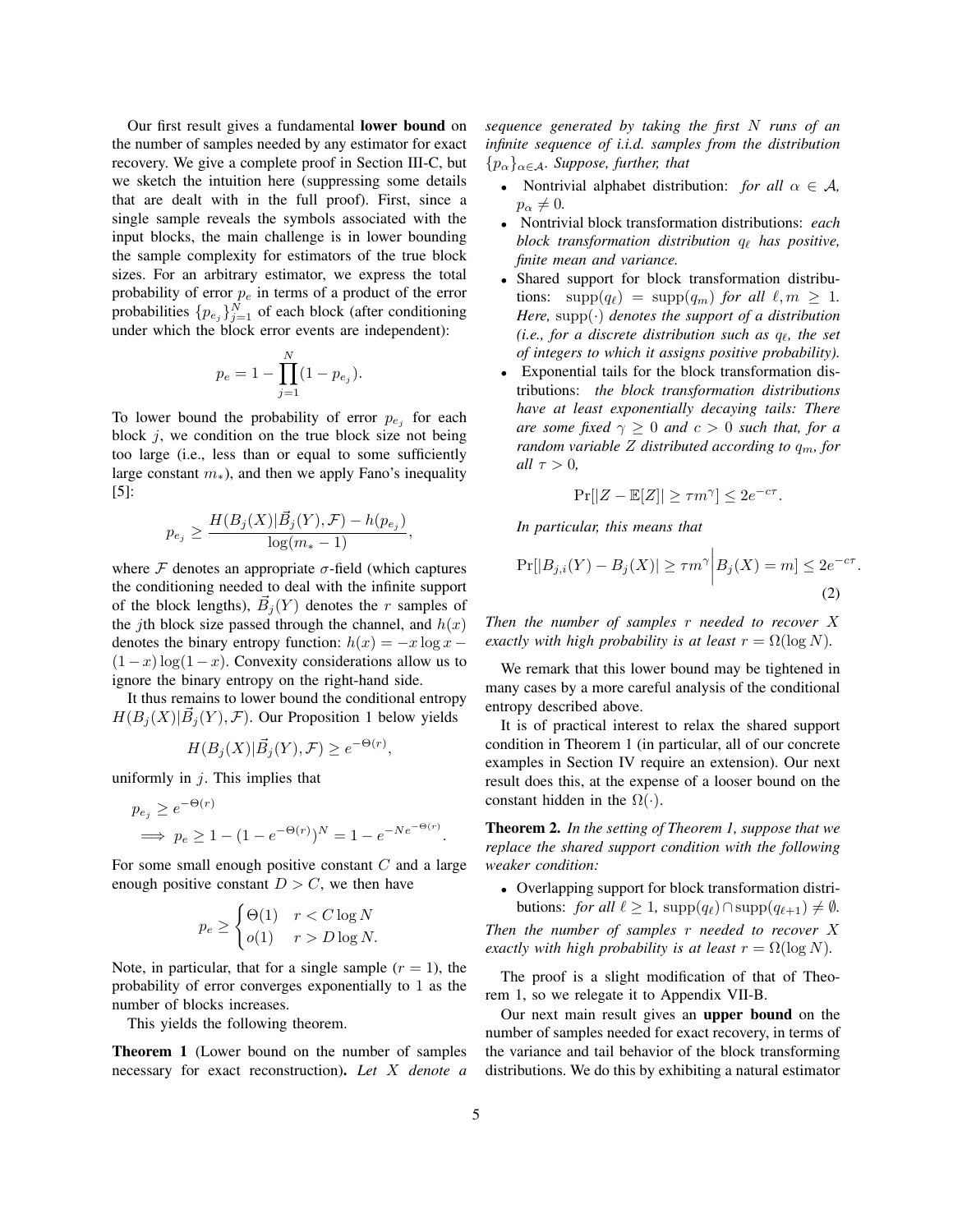Our first result gives a fundamental lower bound on the number of samples needed by any estimator for exact recovery. We give a complete proof in Section III-C, but we sketch the intuition here (suppressing some details that are dealt with in the full proof). First, since a single sample reveals the symbols associated with the input blocks, the main challenge is in lower bounding the sample complexity for estimators of the true block sizes. For an arbitrary estimator, we express the total probability of error  $p_e$  in terms of a product of the error probabilities  $\{p_{e_j}\}_{j=1}^N$  of each block (after conditioning under which the block error events are independent):

$$
p_e = 1 - \prod_{j=1}^{N} (1 - p_{e_j}).
$$

To lower bound the probability of error  $p_{e_j}$  for each block  $j$ , we condition on the true block size not being too large (i.e., less than or equal to some sufficiently large constant  $m<sub>*</sub>$ ), and then we apply Fano's inequality [5]:

$$
p_{e_j} \ge \frac{H(B_j(X)|\vec{B}_j(Y), \mathcal{F}) - h(p_{e_j})}{\log(m_* - 1)},
$$

where  $\mathcal F$  denotes an appropriate  $\sigma$ -field (which captures the conditioning needed to deal with the infinite support of the block lengths),  $\vec{B}_j(Y)$  denotes the r samples of the jth block size passed through the channel, and  $h(x)$ denotes the binary entropy function:  $h(x) = -x \log x (1-x) \log(1-x)$ . Convexity considerations allow us to ignore the binary entropy on the right-hand side.

It thus remains to lower bound the conditional entropy  $H(B_j(X)|\vec{B}_j(Y),\mathcal{F})$ . Our Proposition 1 below yields

$$
H(B_j(X)|\vec{B}_j(Y), \mathcal{F}) \ge e^{-\Theta(r)},
$$

uniformly in  $j$ . This implies that

$$
p_{e_j} \ge e^{-\Theta(r)}
$$
  
\n
$$
\implies p_e \ge 1 - (1 - e^{-\Theta(r)})^N = 1 - e^{-Ne^{-\Theta(r)}}.
$$

For some small enough positive constant  $C$  and a large enough positive constant  $D > C$ , we then have

$$
p_e \ge \begin{cases} \Theta(1) & r < C \log N \\ o(1) & r > D \log N. \end{cases}
$$

Note, in particular, that for a single sample  $(r = 1)$ , the probability of error converges exponentially to 1 as the number of blocks increases.

This yields the following theorem.

Theorem 1 (Lower bound on the number of samples necessary for exact reconstruction). *Let* X *denote a* *sequence generated by taking the first* N *runs of an infinite sequence of i.i.d. samples from the distribution*  ${p_\alpha}_{\alpha\in\mathcal{A}}$ *. Suppose, further, that* 

- Nontrivial alphabet distribution: *for all*  $\alpha \in \mathcal{A}$ ,  $p_{\alpha} \neq 0.$
- Nontrivial block transformation distributions: *each block transformation distribution*  $q_\ell$  *has positive, finite mean and variance.*
- Shared support for block transformation distributions:  $\text{supp}(q_\ell) = \text{supp}(q_m)$  *for all*  $\ell, m \geq 1$ *. Here,* supp(·) *denotes the support of a distribution (i.e., for a discrete distribution such as*  $q_\ell$ *, the set of integers to which it assigns positive probability).*
- Exponential tails for the block transformation distributions: *the block transformation distributions have at least exponentially decaying tails: There are some fixed*  $\gamma \geq 0$  *and*  $c > 0$  *such that, for a random variable* Z *distributed according to*  $q_m$ *, for all*  $\tau > 0$ ,

$$
\Pr[|Z - \mathbb{E}[Z]| \ge \tau m^{\gamma}] \le 2e^{-c\tau}.
$$

*In particular, this means that*

$$
\Pr[|B_{j,i}(Y) - B_j(X)| \ge \tau m^{\gamma} |B_j(X) = m] \le 2e^{-c\tau}.
$$
\n(2)

*Then the number of samples* r *needed to recover* X *exactly with high probability is at least*  $r = \Omega(\log N)$ *.* 

We remark that this lower bound may be tightened in many cases by a more careful analysis of the conditional entropy described above.

It is of practical interest to relax the shared support condition in Theorem 1 (in particular, all of our concrete examples in Section IV require an extension). Our next result does this, at the expense of a looser bound on the constant hidden in the  $\Omega(\cdot)$ .

Theorem 2. *In the setting of Theorem 1, suppose that we replace the shared support condition with the following weaker condition:*

• Overlapping support for block transformation distributions: *for all*  $\ell \geq 1$ , supp $(q_{\ell}) \cap \text{supp}(q_{\ell+1}) \neq \emptyset$ .

*Then the number of samples* r *needed to recover* X *exactly with high probability is at least*  $r = \Omega(\log N)$ *.* 

The proof is a slight modification of that of Theorem 1, so we relegate it to Appendix VII-B.

Our next main result gives an upper bound on the number of samples needed for exact recovery, in terms of the variance and tail behavior of the block transforming distributions. We do this by exhibiting a natural estimator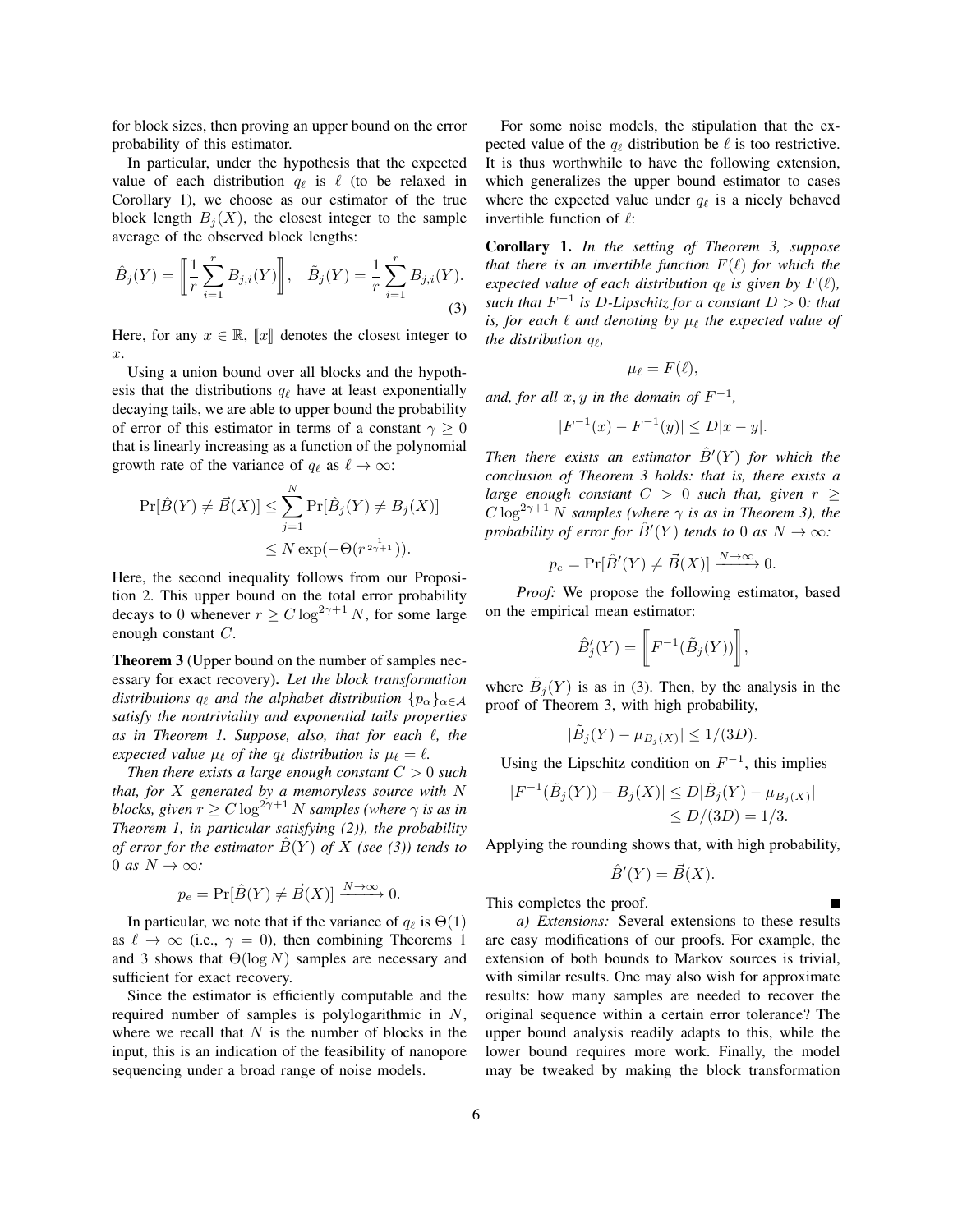for block sizes, then proving an upper bound on the error probability of this estimator.

In particular, under the hypothesis that the expected value of each distribution  $q_\ell$  is  $\ell$  (to be relaxed in Corollary 1), we choose as our estimator of the true block length  $B_i(X)$ , the closest integer to the sample average of the observed block lengths:

$$
\hat{B}_j(Y) = \left[ \frac{1}{r} \sum_{i=1}^r B_{j,i}(Y) \right], \quad \tilde{B}_j(Y) = \frac{1}{r} \sum_{i=1}^r B_{j,i}(Y).
$$
\n(3)

Here, for any  $x \in \mathbb{R}$ ,  $\llbracket x \rrbracket$  denotes the closest integer to  $\boldsymbol{x}.$ 

Using a union bound over all blocks and the hypothesis that the distributions  $q_\ell$  have at least exponentially decaying tails, we are able to upper bound the probability of error of this estimator in terms of a constant  $\gamma \geq 0$ that is linearly increasing as a function of the polynomial growth rate of the variance of  $q_\ell$  as  $\ell \to \infty$ :

$$
\Pr[\hat{B}(Y) \neq \vec{B}(X)] \leq \sum_{j=1}^{N} \Pr[\hat{B}_j(Y) \neq B_j(X)]
$$
  

$$
\leq N \exp(-\Theta(r^{\frac{1}{2\gamma+1}})).
$$

Here, the second inequality follows from our Proposition 2. This upper bound on the total error probability decays to 0 whenever  $r \ge C \log^{2\gamma+1} N$ , for some large enough constant C.

Theorem 3 (Upper bound on the number of samples necessary for exact recovery). *Let the block transformation distributions*  $q_{\ell}$  *and the alphabet distribution*  ${p_{\alpha}}_{\alpha \in A}$ *satisfy the nontriviality and exponential tails properties as in Theorem 1. Suppose, also, that for each*  $\ell$ *, the expected value*  $\mu_{\ell}$  *of the*  $q_{\ell}$  *distribution is*  $\mu_{\ell} = \ell$ *.* 

*Then there exists a large enough constant*  $C > 0$  *such that, for* X *generated by a memoryless source with* N *blocks, given*  $r \geq C \log^{2\gamma+1} N$  *samples (where*  $\gamma$  *is as in Theorem 1, in particular satisfying (2)), the probability of error for the estimator*  $\hat{B}(Y)$  *of* X *(see (3)) tends to* 0 *as*  $N \to \infty$ *:* 

$$
p_e = \Pr[\hat{B}(Y) \neq \vec{B}(X)] \xrightarrow{N \to \infty} 0.
$$

In particular, we note that if the variance of  $q_\ell$  is  $\Theta(1)$ as  $\ell \to \infty$  (i.e.,  $\gamma = 0$ ), then combining Theorems 1 and 3 shows that  $\Theta(\log N)$  samples are necessary and sufficient for exact recovery.

Since the estimator is efficiently computable and the required number of samples is polylogarithmic in N, where we recall that  $N$  is the number of blocks in the input, this is an indication of the feasibility of nanopore sequencing under a broad range of noise models.

For some noise models, the stipulation that the expected value of the  $q_\ell$  distribution be  $\ell$  is too restrictive. It is thus worthwhile to have the following extension, which generalizes the upper bound estimator to cases where the expected value under  $q_\ell$  is a nicely behaved invertible function of  $\ell$ :

Corollary 1. *In the setting of Theorem 3, suppose that there is an invertible function*  $F(\ell)$  *for which the expected value of each distribution*  $q_{\ell}$  *is given by*  $F(\ell)$ *,* such that  $F^{-1}$  is D-Lipschitz for a constant  $D > 0$ : that *is, for each*  $\ell$  *and denoting by*  $\mu_{\ell}$  *the expected value of the distribution*  $q_\ell$ *,* 

$$
\mu_{\ell}=F(\ell),
$$

and, for all  $x, y$  in the domain of  $F^{-1}$ ,

$$
|F^{-1}(x) - F^{-1}(y)| \le D|x - y|.
$$

*Then there exists an estimator*  $\hat{B}'(Y)$  *for which the conclusion of Theorem 3 holds: that is, there exists a large enough constant*  $C > 0$  *such that, given*  $r \geq$  $C \log^{2\gamma+1} N$  *samples (where*  $\gamma$  *is as in Theorem 3), the probability of error for*  $\hat{B}'(Y)$  *tends to* 0 *as*  $N \to \infty$ *:* 

$$
p_e = \Pr[\hat{B}'(Y) \neq \vec{B}(X)] \xrightarrow{N \to \infty} 0.
$$

*Proof:* We propose the following estimator, based on the empirical mean estimator:

$$
\hat{B}'_j(Y) = \left[ F^{-1}(\tilde{B}_j(Y)) \right],
$$

where  $\tilde{B}_j(Y)$  is as in (3). Then, by the analysis in the proof of Theorem 3, with high probability,

$$
|\tilde{B}_j(Y) - \mu_{B_j(X)}| \le 1/(3D).
$$

Using the Lipschitz condition on  $F^{-1}$ , this implies

$$
|F^{-1}(\tilde{B}_j(Y)) - B_j(X)| \le D|\tilde{B}_j(Y) - \mu_{B_j(X)}|
$$
  
\n
$$
\le D/(3D) = 1/3.
$$

Applying the rounding shows that, with high probability,

$$
\hat{B}'(Y) = \vec{B}(X).
$$

 $\blacksquare$ 

This completes the proof.

*a) Extensions:* Several extensions to these results are easy modifications of our proofs. For example, the extension of both bounds to Markov sources is trivial, with similar results. One may also wish for approximate results: how many samples are needed to recover the original sequence within a certain error tolerance? The upper bound analysis readily adapts to this, while the lower bound requires more work. Finally, the model may be tweaked by making the block transformation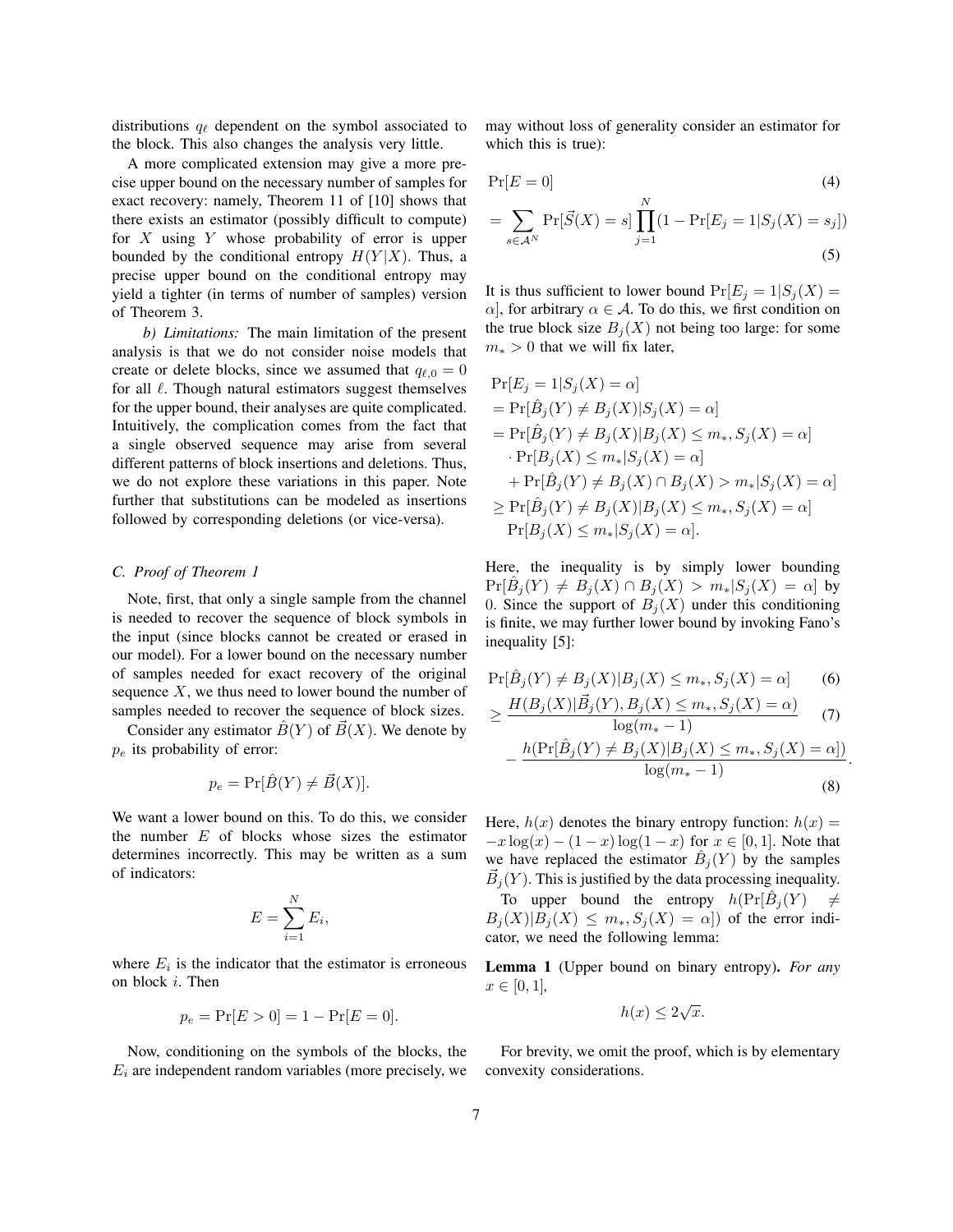distributions  $q_\ell$  dependent on the symbol associated to the block. This also changes the analysis very little.

A more complicated extension may give a more precise upper bound on the necessary number of samples for exact recovery: namely, Theorem 11 of [10] shows that there exists an estimator (possibly difficult to compute) for  $X$  using  $Y$  whose probability of error is upper bounded by the conditional entropy  $H(Y|X)$ . Thus, a precise upper bound on the conditional entropy may yield a tighter (in terms of number of samples) version of Theorem 3.

*b) Limitations:* The main limitation of the present analysis is that we do not consider noise models that create or delete blocks, since we assumed that  $q_{\ell,0} = 0$ for all  $\ell$ . Though natural estimators suggest themselves for the upper bound, their analyses are quite complicated. Intuitively, the complication comes from the fact that a single observed sequence may arise from several different patterns of block insertions and deletions. Thus, we do not explore these variations in this paper. Note further that substitutions can be modeled as insertions followed by corresponding deletions (or vice-versa).

## *C. Proof of Theorem 1*

Note, first, that only a single sample from the channel is needed to recover the sequence of block symbols in the input (since blocks cannot be created or erased in our model). For a lower bound on the necessary number of samples needed for exact recovery of the original sequence  $X$ , we thus need to lower bound the number of samples needed to recover the sequence of block sizes.

Consider any estimator  $B(Y)$  of  $B(X)$ . We denote by  $p_e$  its probability of error:

$$
p_e = \Pr[\hat{B}(Y) \neq \vec{B}(X)].
$$

We want a lower bound on this. To do this, we consider the number  $E$  of blocks whose sizes the estimator determines incorrectly. This may be written as a sum of indicators:

$$
E = \sum_{i=1}^{N} E_i,
$$

where  $E_i$  is the indicator that the estimator is erroneous on block i. Then

$$
p_e = \Pr[E > 0] = 1 - \Pr[E = 0].
$$

Now, conditioning on the symbols of the blocks, the  $E_i$  are independent random variables (more precisely, we may without loss of generality consider an estimator for which this is true):

$$
\Pr[E=0] \tag{4}
$$

$$
= \sum_{s \in A^N} \Pr[\vec{S}(X) = s] \prod_{j=1}^N (1 - \Pr[E_j = 1 | S_j(X) = s_j])
$$
\n(5)

It is thus sufficient to lower bound  $Pr[E_i = 1|S_i(X)]$  $\alpha$ , for arbitrary  $\alpha \in \mathcal{A}$ . To do this, we first condition on the true block size  $B_i(X)$  not being too large: for some  $m_* > 0$  that we will fix later,

$$
Pr[E_j = 1|S_j(X) = \alpha]
$$
  
= 
$$
Pr[\hat{B}_j(Y) \neq B_j(X)|S_j(X) = \alpha]
$$
  
= 
$$
Pr[\hat{B}_j(Y) \neq B_j(X)|B_j(X) \leq m_*, S_j(X) = \alpha]
$$
  

$$
Pr[B_j(X) \leq m_*|S_j(X) = \alpha]
$$
  
+ 
$$
Pr[\hat{B}_j(Y) \neq B_j(X) \cap B_j(X) > m_*|S_j(X) = \alpha]
$$
  

$$
\geq Pr[\hat{B}_j(Y) \neq B_j(X)|B_j(X) \leq m_*, S_j(X) = \alpha]
$$
  

$$
Pr[B_j(X) \leq m_*|S_j(X) = \alpha].
$$

Here, the inequality is by simply lower bounding  $\Pr[\hat{B}_j(Y) \neq \hat{B}_j(X) \cap B_j(X) > m_*|S_j(X) = \alpha]$  by 0. Since the support of  $B_i(X)$  under this conditioning is finite, we may further lower bound by invoking Fano's inequality [5]:

$$
\Pr[\hat{B}_j(Y) \neq B_j(X)|B_j(X) \leq m_*, S_j(X) = \alpha]
$$
 (6)

$$
\geq \frac{H(B_j(X)|\vec{B}_j(Y), B_j(X) \leq m_*, S_j(X) = \alpha)}{\log(m_* - 1)} \tag{7}
$$

$$
-\frac{h(\Pr[\hat{B}_j(Y) \neq B_j(X)|B_j(X) \leq m_*, S_j(X) = \alpha])}{\log(m_* - 1)}.
$$
\n(8)

Here,  $h(x)$  denotes the binary entropy function:  $h(x) =$  $-x \log(x) - (1-x) \log(1-x)$  for  $x \in [0,1]$ . Note that we have replaced the estimator  $\hat{B}_j(Y)$  by the samples  $\vec{B}_j(Y)$ . This is justified by the data processing inequality. To upper bound the entropy  $h(\Pr[\hat{B}_j(Y)] \neq$  $B_i(X)|B_i(X)| \leq m_*, S_i(X) = \alpha$ ) of the error indicator, we need the following lemma:

Lemma 1 (Upper bound on binary entropy). *For any*  $x \in [0, 1]$ ,

$$
h(x) \le 2\sqrt{x}.
$$

For brevity, we omit the proof, which is by elementary convexity considerations.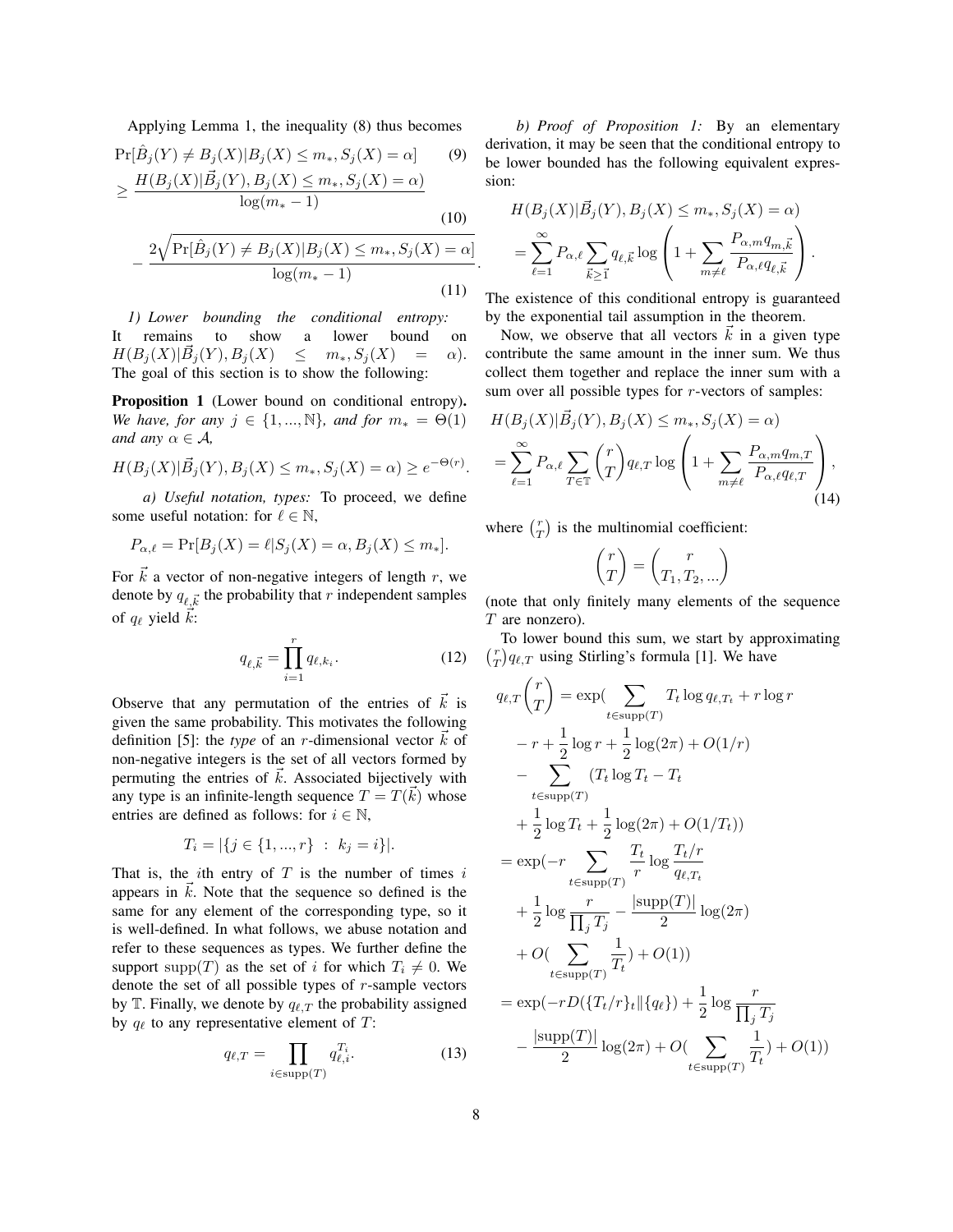Applying Lemma 1, the inequality (8) thus becomes

$$
\Pr[\hat{B}_j(Y) \neq B_j(X)|B_j(X) \leq m_*, S_j(X) = \alpha]
$$
\n
$$
\geq \frac{H(B_j(X)|\vec{B}_j(Y), B_j(X) \leq m_*, S_j(X) = \alpha)}{\log(m_* - 1)}
$$
\n(9)

$$
\frac{100}{B_z(X)|B_z(X)|S_m(S_z(X)) = c}
$$

$$
-\frac{2\sqrt{\Pr[\hat{B}_j(Y) \neq B_j(X)|B_j(X) \leq m_*, S_j(X) = \alpha]}}{\log(m_* - 1)}.
$$
\n(11)

*1) Lower bounding the conditional entropy:* It remains to show a lower bound on  $H(B_j(X)|\vec{B}_j(Y), B_j(X) \leq m_*, S_j(X) = \alpha).$ The goal of this section is to show the following:

Proposition 1 (Lower bound on conditional entropy). *We have, for any*  $j \in \{1, ..., N\}$ *, and for*  $m_* = \Theta(1)$ *and any*  $\alpha \in \mathcal{A}$ *,* 

$$
H(B_j(X)|\vec{B}_j(Y), B_j(X) \le m_*, S_j(X) = \alpha) \ge e^{-\Theta(r)}.
$$

*a) Useful notation, types:* To proceed, we define some useful notation: for  $\ell \in \mathbb{N}$ ,

$$
P_{\alpha,\ell} = \Pr[B_j(X) = \ell | S_j(X) = \alpha, B_j(X) \le m_*].
$$

For  $\vec{k}$  a vector of non-negative integers of length r, we denote by  $q_{\ell, \vec{k}}$  the probability that r independent samples of  $q_\ell$  yield  $\vec{k}$ :

$$
q_{\ell, \vec{k}} = \prod_{i=1}^{r} q_{\ell, k_i}.
$$
 (12)

Observe that any permutation of the entries of  $\vec{k}$  is given the same probability. This motivates the following definition [5]: the *type* of an *r*-dimensional vector  $k$  of non-negative integers is the set of all vectors formed by permuting the entries of  $\vec{k}$ . Associated bijectively with any type is an infinite-length sequence  $T = T(\vec{k})$  whose entries are defined as follows: for  $i \in \mathbb{N}$ ,

$$
T_i = |\{j \in \{1, ..., r\} : k_j = i\}|.
$$

That is, the *i*th entry of  $T$  is the number of times  $i$ appears in  $k$ . Note that the sequence so defined is the same for any element of the corresponding type, so it is well-defined. In what follows, we abuse notation and refer to these sequences as types. We further define the support supp $(T)$  as the set of i for which  $T_i \neq 0$ . We denote the set of all possible types of  $r$ -sample vectors by T. Finally, we denote by  $q_{\ell,T}$  the probability assigned by  $q_\ell$  to any representative element of T:

$$
q_{\ell,T} = \prod_{i \in \text{supp}(T)} q_{\ell,i}^{T_i}.
$$
 (13)

*b) Proof of Proposition 1:* By an elementary derivation, it may be seen that the conditional entropy to be lower bounded has the following equivalent expression:

$$
H(B_j(X)|\vec{B}_j(Y), B_j(X) \le m_*, S_j(X) = \alpha)
$$
  
= 
$$
\sum_{\ell=1}^{\infty} P_{\alpha,\ell} \sum_{\vec{k} \ge \vec{1}} q_{\ell,\vec{k}} \log \left( 1 + \sum_{m \ne \ell} \frac{P_{\alpha,m} q_{m,\vec{k}}}{P_{\alpha,\ell} q_{\ell,\vec{k}}}\right).
$$

The existence of this conditional entropy is guaranteed by the exponential tail assumption in the theorem.

Now, we observe that all vectors  $k$  in a given type contribute the same amount in the inner sum. We thus collect them together and replace the inner sum with a sum over all possible types for *r*-vectors of samples:

$$
H(B_j(X)|\vec{B}_j(Y), B_j(X) \le m_*, S_j(X) = \alpha)
$$
  
= 
$$
\sum_{\ell=1}^{\infty} P_{\alpha,\ell} \sum_{T \in \mathbb{T}} {r \choose T} q_{\ell,T} \log \left( 1 + \sum_{m \neq \ell} \frac{P_{\alpha,m} q_{m,T}}{P_{\alpha,\ell} q_{\ell,T}} \right),
$$
 (14)

where  $\binom{r}{T}$  is the multinomial coefficient:

$$
\binom{r}{T} = \binom{r}{T_1, T_2, \dots}
$$

(note that only finitely many elements of the sequence T are nonzero).

To lower bound this sum, we start by approximating  $\binom{r}{T}q_{\ell,T}$  using Stirling's formula [1]. We have

$$
q_{\ell,T}\binom{r}{T} = \exp\left(\sum_{t \in \text{supp}(T)} T_t \log q_{\ell,T_t} + r \log r\right)
$$
  
\n
$$
-r + \frac{1}{2} \log r + \frac{1}{2} \log(2\pi) + O(1/r)
$$
  
\n
$$
- \sum_{t \in \text{supp}(T)} (T_t \log T_t - T_t + \frac{1}{2} \log T_t + \frac{1}{2} \log(2\pi) + O(1/T_t))
$$
  
\n
$$
= \exp(-r \sum_{t \in \text{supp}(T)} \frac{T_t}{r} \log \frac{T_t/r}{q_{\ell,T_t}} + \frac{1}{2} \log \frac{r}{\prod_j T_j} - \frac{|\text{supp}(T)|}{2} \log(2\pi) + O\left(\sum_{t \in \text{supp}(T)} \frac{1}{T_t}\right) + O(1))
$$
  
\n
$$
= \exp(-rD(\lbrace T_t/r \rbrace_t || \lbrace q_\ell \rbrace) + \frac{1}{2} \log \frac{r}{\prod_j T_j} - \frac{|\text{supp}(T)|}{2} \log(2\pi) + O\left(\sum_{t \in \text{supp}(T)} \frac{1}{T_t}\right) + O(1))
$$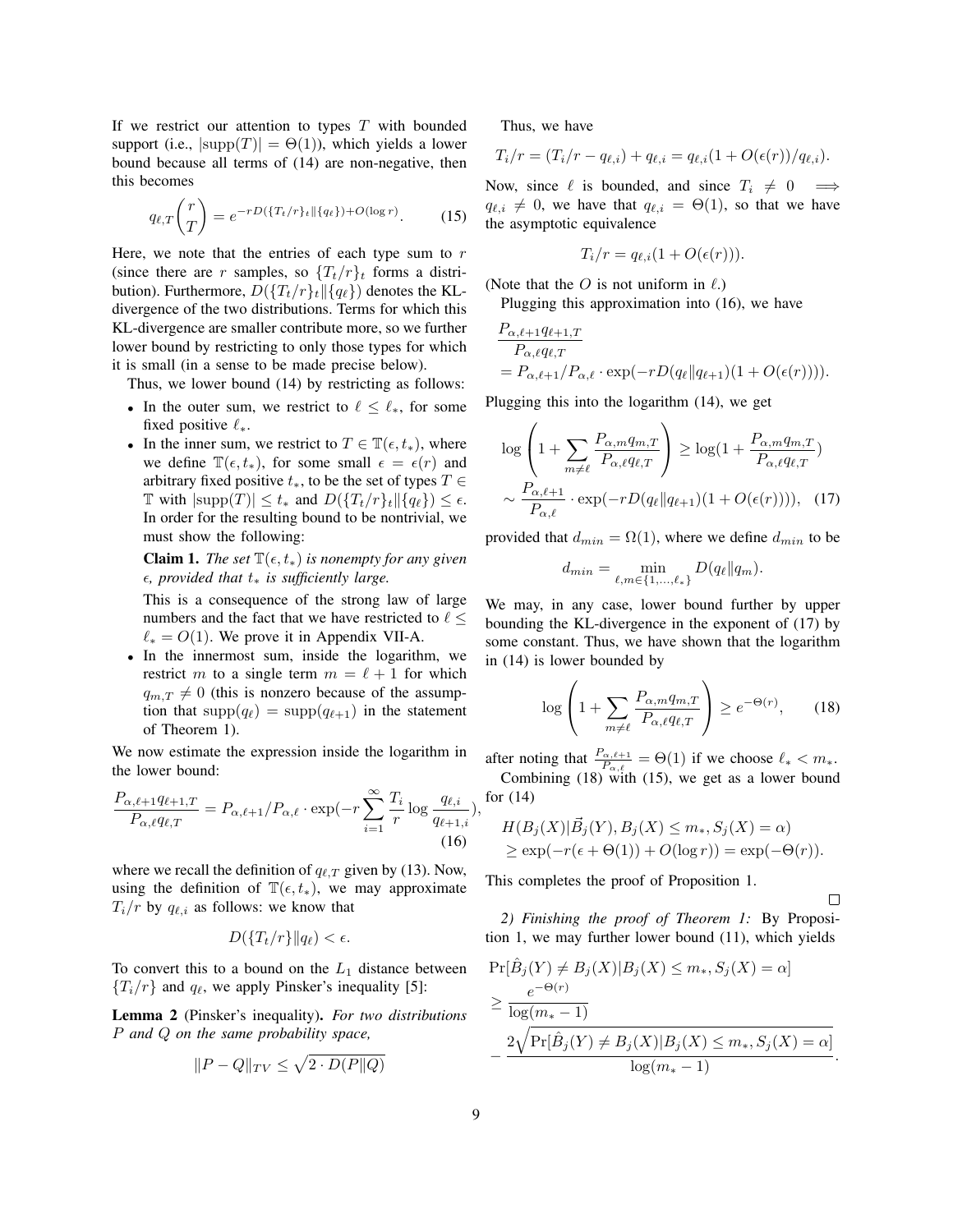If we restrict our attention to types  $T$  with bounded support (i.e.,  $|\text{supp}(T)| = \Theta(1)$ ), which yields a lower bound because all terms of (14) are non-negative, then this becomes

$$
q_{\ell,T}\binom{r}{T} = e^{-rD(\{T_t/r\}_t \| \{q_\ell\}) + O(\log r)}.
$$
 (15)

Here, we note that the entries of each type sum to  $r$ (since there are r samples, so  $\{T_t/r\}_t$  forms a distribution). Furthermore,  $D({T_t/r}_t|\{q_\ell\})$  denotes the KLdivergence of the two distributions. Terms for which this KL-divergence are smaller contribute more, so we further lower bound by restricting to only those types for which it is small (in a sense to be made precise below).

Thus, we lower bound (14) by restricting as follows:

- In the outer sum, we restrict to  $\ell \leq \ell_{*}$ , for some fixed positive  $\ell_*$ .
- In the inner sum, we restrict to  $T \in \mathbb{T}(\epsilon, t_*)$ , where we define  $\mathbb{T}(\epsilon, t_*)$ , for some small  $\epsilon = \epsilon(r)$  and arbitrary fixed positive  $t_*,$  to be the set of types  $T \in$ T with  $|\text{supp}(T)| \le t_*$  and  $D({T_t/r}_t | \{q_\ell\}) \le \epsilon$ . In order for the resulting bound to be nontrivial, we must show the following:

**Claim 1.** *The set*  $\mathbb{T}(\epsilon, t_*)$  *is nonempty for any given , provided that* t<sup>∗</sup> *is sufficiently large.*

This is a consequence of the strong law of large numbers and the fact that we have restricted to  $\ell$  <  $\ell_* = O(1)$ . We prove it in Appendix VII-A.

• In the innermost sum, inside the logarithm, we restrict m to a single term  $m = \ell + 1$  for which  $q_{m,T} \neq 0$  (this is nonzero because of the assumption that  $supp(q_\ell) = supp(q_{\ell+1})$  in the statement of Theorem 1).

We now estimate the expression inside the logarithm in the lower bound:

$$
\frac{P_{\alpha,\ell+1}q_{\ell+1,T}}{P_{\alpha,\ell}q_{\ell,T}} = P_{\alpha,\ell+1}/P_{\alpha,\ell} \cdot \exp(-r\sum_{i=1}^{\infty} \frac{T_i}{r} \log \frac{q_{\ell,i}}{q_{\ell+1,i}}),
$$
\n(16)

where we recall the definition of  $q_{\ell,T}$  given by (13). Now, using the definition of  $\mathbb{T}(\epsilon, t_*)$ , we may approximate  $T_i/r$  by  $q_{\ell,i}$  as follows: we know that

$$
D(\{T_t/r\}||q_\ell) < \epsilon.
$$

To convert this to a bound on the  $L_1$  distance between  ${T_i/r}$  and  $q_\ell$ , we apply Pinsker's inequality [5]:

Lemma 2 (Pinsker's inequality). *For two distributions* P *and* Q *on the same probability space,*

$$
||P - Q||_{TV} \le \sqrt{2 \cdot D(P||Q)}
$$

Thus, we have

$$
T_i/r = (T_i/r - q_{\ell,i}) + q_{\ell,i} = q_{\ell,i}(1 + O(\epsilon(r))/q_{\ell,i}).
$$

Now, since  $\ell$  is bounded, and since  $T_i \neq 0 \implies$  $q_{\ell,i} \neq 0$ , we have that  $q_{\ell,i} = \Theta(1)$ , so that we have the asymptotic equivalence

$$
T_i/r = q_{\ell,i}(1 + O(\epsilon(r))).
$$

(Note that the  $O$  is not uniform in  $\ell$ .)

Plugging this approximation into (16), we have

$$
\frac{P_{\alpha,\ell+1}q_{\ell+1,T}}{P_{\alpha,\ell}q_{\ell,T}}
$$
  
=  $P_{\alpha,\ell+1}/P_{\alpha,\ell} \cdot \exp(-rD(q_{\ell}||q_{\ell+1})(1+O(\epsilon(r))))$ .

Plugging this into the logarithm (14), we get

$$
\log \left( 1 + \sum_{m \neq \ell} \frac{P_{\alpha,m} q_{m,T}}{P_{\alpha,\ell} q_{\ell,T}} \right) \ge \log(1 + \frac{P_{\alpha,m} q_{m,T}}{P_{\alpha,\ell} q_{\ell,T}})
$$

$$
\sim \frac{P_{\alpha,\ell+1}}{P_{\alpha,\ell}} \cdot \exp(-rD(q_{\ell}||q_{\ell+1})(1 + O(\epsilon(r)))), \quad (17)
$$

provided that  $d_{min} = \Omega(1)$ , where we define  $d_{min}$  to be

$$
d_{min} = \min_{\ell,m \in \{1,\dots,\ell_*\}} D(q_{\ell} || q_m).
$$

We may, in any case, lower bound further by upper bounding the KL-divergence in the exponent of (17) by some constant. Thus, we have shown that the logarithm in (14) is lower bounded by

$$
\log\left(1+\sum_{m\neq\ell}\frac{P_{\alpha,m}q_{m,T}}{P_{\alpha,\ell}q_{\ell,T}}\right)\geq e^{-\Theta(r)},\qquad(18)
$$

after noting that  $\frac{P_{\alpha,\ell+1}}{P_{\alpha,\ell}} = \Theta(1)$  if we choose  $\ell_* < m_*$ . Combining (18) with (15), we get as a lower bound

for (14)

$$
H(Bj(X)|\vec{B}_j(Y), B_j(X) \le m_*, S_j(X) = \alpha)
$$
  
\n
$$
\ge \exp(-r(\epsilon + \Theta(1)) + O(\log r)) = \exp(-\Theta(r)).
$$

This completes the proof of Proposition 1.

 $\Box$ 

*2) Finishing the proof of Theorem 1:* By Proposition 1, we may further lower bound (11), which yields

$$
\Pr[\hat{B}_j(Y) \neq B_j(X)|B_j(X) \leq m_*, S_j(X) = \alpha]
$$
  
\n
$$
\geq \frac{e^{-\Theta(r)}}{\log(m_* - 1)}
$$
  
\n
$$
-\frac{2\sqrt{\Pr[\hat{B}_j(Y) \neq B_j(X)|B_j(X) \leq m_*, S_j(X) = \alpha]}}{\log(m_* - 1)}.
$$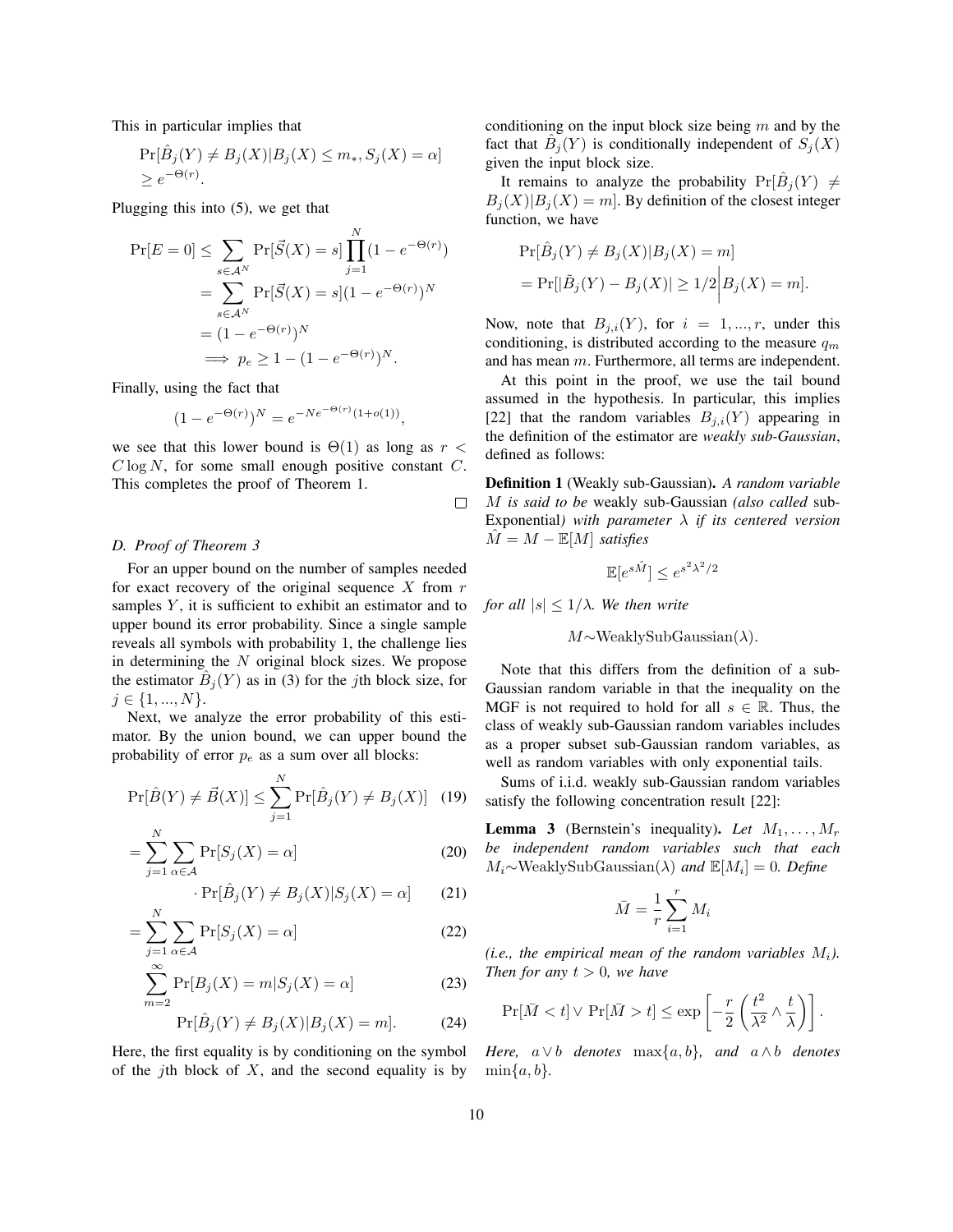This in particular implies that

$$
\Pr[\hat{B}_j(Y) \neq B_j(X)|B_j(X) \leq m_*, S_j(X) = \alpha]
$$
  
\n
$$
\geq e^{-\Theta(r)}.
$$

Plugging this into (5), we get that

$$
\Pr[E=0] \le \sum_{s \in A^N} \Pr[\vec{S}(X) = s] \prod_{j=1}^N (1 - e^{-\Theta(r)})
$$

$$
= \sum_{s \in A^N} \Pr[\vec{S}(X) = s] (1 - e^{-\Theta(r)})^N
$$

$$
= (1 - e^{-\Theta(r)})^N
$$

$$
\implies p_e \ge 1 - (1 - e^{-\Theta(r)})^N.
$$

Finally, using the fact that

$$
(1 - e^{-\Theta(r)})^N = e^{-Ne^{-\Theta(r)}(1 + o(1))},
$$

we see that this lower bound is  $\Theta(1)$  as long as  $r <$  $C \log N$ , for some small enough positive constant C. This completes the proof of Theorem 1.

#### *D. Proof of Theorem 3*

 $\mathbf{N}$ 

For an upper bound on the number of samples needed for exact recovery of the original sequence  $X$  from  $r$ samples  $Y$ , it is sufficient to exhibit an estimator and to upper bound its error probability. Since a single sample reveals all symbols with probability 1, the challenge lies in determining the  $N$  original block sizes. We propose the estimator  $\hat{B}_j(Y)$  as in (3) for the *j*th block size, for  $j \in \{1, ..., N\}.$ 

Next, we analyze the error probability of this estimator. By the union bound, we can upper bound the probability of error  $p_e$  as a sum over all blocks:

$$
\Pr[\hat{B}(Y) \neq \vec{B}(X)] \leq \sum_{j=1}^{N} \Pr[\hat{B}_j(Y) \neq B_j(X)] \quad (19)
$$

$$
= \sum_{j=1}^{N} \sum_{\alpha \in \mathcal{A}} \Pr[S_j(X) = \alpha] \tag{20}
$$

$$
\Pr[\hat{B}_j(Y) \neq B_j(X)|S_j(X) = \alpha] \qquad (21)
$$

$$
= \sum_{j=1}^{N} \sum_{\alpha \in \mathcal{A}} \Pr[S_j(X) = \alpha] \tag{22}
$$

$$
\sum_{m=2}^{\infty} \Pr[B_j(X) = m | S_j(X) = \alpha]
$$
 (23)

$$
\Pr[\hat{B}_j(Y) \neq B_j(X)|B_j(X) = m].
$$
 (24)

Here, the first equality is by conditioning on the symbol *Here,*  $a \vee b$  *denotes* max $\{a, b\}$ *, and*  $a \wedge b$  *denotes* of the *j*th block of X, and the second equality is by  $\min\{a, b\}$ .

conditioning on the input block size being  $m$  and by the fact that  $\tilde{B}_j(Y)$  is conditionally independent of  $S_j(X)$ given the input block size.

It remains to analyze the probability  $\Pr[\hat{B}_j(Y) \neq$  $B_i(X)|B_i(X) = m$ . By definition of the closest integer function, we have

$$
\Pr[\hat{B}_j(Y) \neq B_j(X)|B_j(X) = m] \n= \Pr[|\tilde{B}_j(Y) - B_j(X)| \ge 1/2 | B_j(X) = m].
$$

Now, note that  $B_{j,i}(Y)$ , for  $i = 1, ..., r$ , under this conditioning, is distributed according to the measure  $q_m$ and has mean m. Furthermore, all terms are independent.

At this point in the proof, we use the tail bound assumed in the hypothesis. In particular, this implies [22] that the random variables  $B_{j,i}(Y)$  appearing in the definition of the estimator are *weakly sub-Gaussian*, defined as follows:

Definition 1 (Weakly sub-Gaussian). *A random variable* M *is said to be* weakly sub-Gaussian *(also called* sub-Exponential*) with parameter* λ *if its centered version*  $\hat{M} = M - \mathbb{E}[M]$  *satisfies* 

$$
\mathbb{E}[e^{s\hat{M}}] \le e^{s^2\lambda^2/2}
$$

*for all*  $|s| \leq 1/\lambda$ *. We then write* 

 $M \sim$ WeaklySubGaussian( $\lambda$ ).

Note that this differs from the definition of a sub-Gaussian random variable in that the inequality on the MGF is not required to hold for all  $s \in \mathbb{R}$ . Thus, the class of weakly sub-Gaussian random variables includes as a proper subset sub-Gaussian random variables, as well as random variables with only exponential tails.

Sums of i.i.d. weakly sub-Gaussian random variables satisfy the following concentration result [22]:

**Lemma 3** (Bernstein's inequality). Let  $M_1, \ldots, M_r$ *be independent random variables such that each*  $M_i \sim$ WeaklySubGaussian( $\lambda$ ) *and*  $\mathbb{E}[M_i] = 0$ . Define

$$
\bar{M} = \frac{1}{r} \sum_{i=1}^{r} M_i
$$

*(i.e., the empirical mean of the random variables*  $M_i$ *). Then for any*  $t > 0$ *, we have* 

$$
\Pr[\bar{M} < t] \vee \Pr[\bar{M} > t] \le \exp\left[-\frac{r}{2}\left(\frac{t^2}{\lambda^2} \wedge \frac{t}{\lambda}\right)\right].
$$

 $\Box$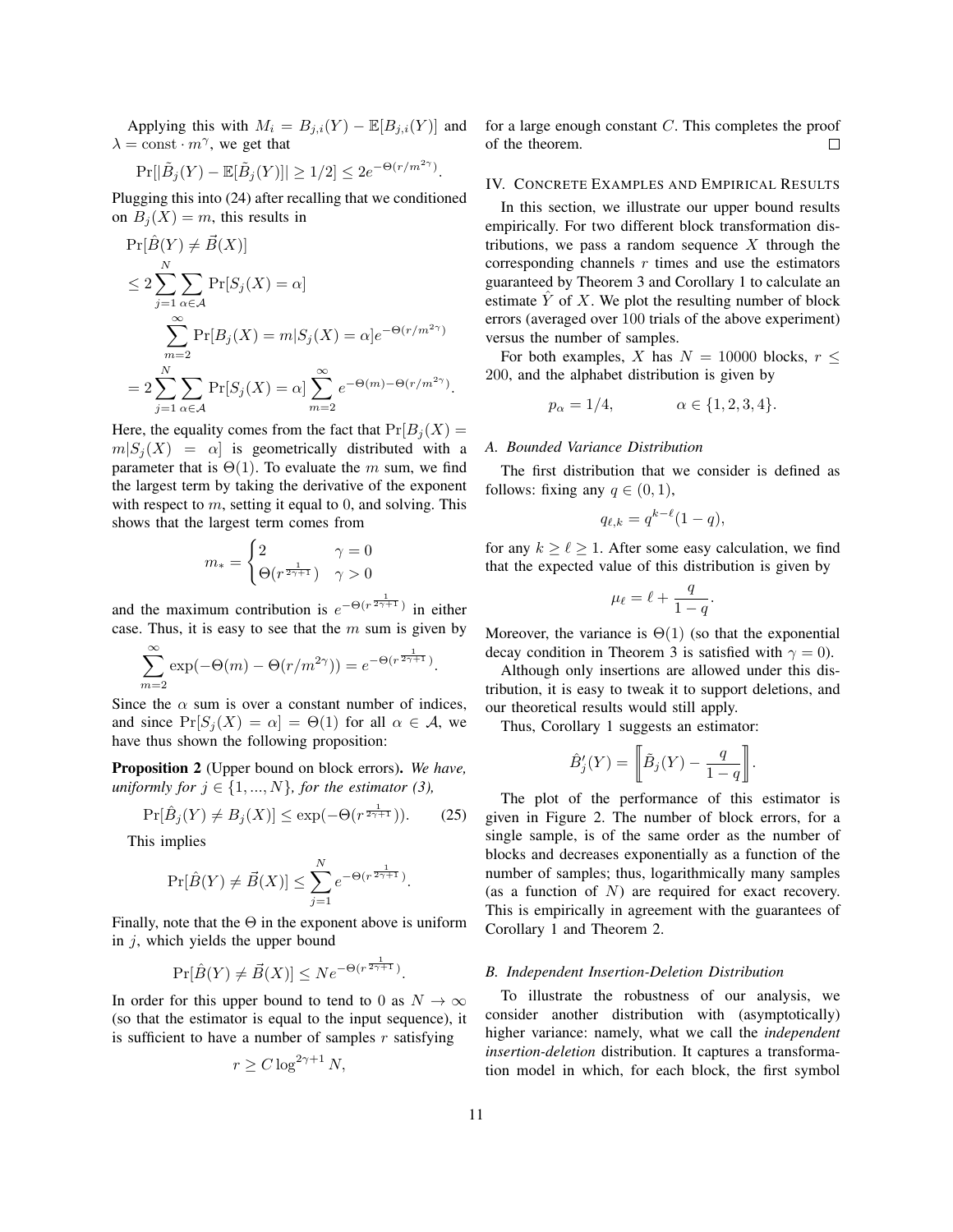Applying this with  $M_i = B_{j,i}(Y) - \mathbb{E}[B_{j,i}(Y)]$  and  $\lambda = \text{const} \cdot m^{\gamma}$ , we get that

$$
\Pr[|\tilde{B}_j(Y) - \mathbb{E}[\tilde{B}_j(Y)]| \ge 1/2] \le 2e^{-\Theta(r/m^{2\gamma})}.
$$

Plugging this into (24) after recalling that we conditioned on  $B_i(X) = m$ , this results in

$$
Pr[\hat{B}(Y) \neq \vec{B}(X)]
$$
  
\n
$$
\leq 2 \sum_{j=1}^{N} \sum_{\alpha \in \mathcal{A}} Pr[S_j(X) = \alpha]
$$
  
\n
$$
\sum_{m=2}^{\infty} Pr[B_j(X) = m | S_j(X) = \alpha] e^{-\Theta(r/m^{2\gamma})}
$$
  
\n
$$
= 2 \sum_{j=1}^{N} \sum_{\alpha \in \mathcal{A}} Pr[S_j(X) = \alpha] \sum_{m=2}^{\infty} e^{-\Theta(m) - \Theta(r/m^{2\gamma})}.
$$

Here, the equality comes from the fact that  $Pr[B_i(X)] =$  $m|S_i(X) = \alpha$  is geometrically distributed with a parameter that is  $\Theta(1)$ . To evaluate the m sum, we find the largest term by taking the derivative of the exponent with respect to  $m$ , setting it equal to 0, and solving. This shows that the largest term comes from

$$
m_* = \begin{cases} 2 & \gamma = 0\\ \Theta(r^{\frac{1}{2\gamma+1}}) & \gamma > 0 \end{cases}
$$

and the maximum contribution is  $e^{-\Theta(r^{\frac{1}{2\gamma+1}})}$  in either case. Thus, it is easy to see that the  $m$  sum is given by

$$
\sum_{m=2}^{\infty} \exp(-\Theta(m) - \Theta(r/m^{2\gamma})) = e^{-\Theta(r^{\frac{1}{2\gamma+1}})}.
$$

Since the  $\alpha$  sum is over a constant number of indices, and since  $Pr[S_i(X) = \alpha] = \Theta(1)$  for all  $\alpha \in \mathcal{A}$ , we have thus shown the following proposition:

Proposition 2 (Upper bound on block errors). *We have, uniformly for*  $j \in \{1, ..., N\}$ *, for the estimator* (3),

$$
\Pr[\hat{B}_j(Y) \neq B_j(X)] \le \exp(-\Theta(r^{\frac{1}{2\gamma+1}})).
$$
 (25)

This implies

$$
\Pr[\hat{B}(Y) \neq \vec{B}(X)] \le \sum_{j=1}^{N} e^{-\Theta(r^{\frac{1}{2\gamma+1}})}.
$$

Finally, note that the  $\Theta$  in the exponent above is uniform in  $j$ , which yields the upper bound

$$
\Pr[\hat{B}(Y) \neq \vec{B}(X)] \leq N e^{-\Theta(r^{\frac{1}{2\gamma+1}})}.
$$

In order for this upper bound to tend to 0 as  $N \to \infty$ (so that the estimator is equal to the input sequence), it is sufficient to have a number of samples  $r$  satisfying

$$
r \ge C \log^{2\gamma + 1} N,
$$

for a large enough constant  $C$ . This completes the proof of the theorem.  $\Box$ 

## IV. CONCRETE EXAMPLES AND EMPIRICAL RESULTS

In this section, we illustrate our upper bound results empirically. For two different block transformation distributions, we pass a random sequence  $X$  through the corresponding channels  $r$  times and use the estimators guaranteed by Theorem 3 and Corollary 1 to calculate an estimate  $\overline{Y}$  of X. We plot the resulting number of block errors (averaged over 100 trials of the above experiment) versus the number of samples.

For both examples, X has  $N = 10000$  blocks,  $r \leq$ 200, and the alphabet distribution is given by

$$
p_{\alpha} = 1/4, \qquad \alpha \in \{1, 2, 3, 4\}.
$$

## *A. Bounded Variance Distribution*

The first distribution that we consider is defined as follows: fixing any  $q \in (0, 1)$ ,

$$
q_{\ell,k} = q^{k-\ell}(1-q),
$$

for any  $k \ge \ell \ge 1$ . After some easy calculation, we find that the expected value of this distribution is given by

$$
\mu_{\ell} = \ell + \frac{q}{1-q}.
$$

Moreover, the variance is  $\Theta(1)$  (so that the exponential decay condition in Theorem 3 is satisfied with  $\gamma = 0$ ).

Although only insertions are allowed under this distribution, it is easy to tweak it to support deletions, and our theoretical results would still apply.

Thus, Corollary 1 suggests an estimator:

$$
\hat{B}'_j(Y) = \left[ \tilde{B}_j(Y) - \frac{q}{1-q} \right].
$$

The plot of the performance of this estimator is given in Figure 2. The number of block errors, for a single sample, is of the same order as the number of blocks and decreases exponentially as a function of the number of samples; thus, logarithmically many samples (as a function of  $N$ ) are required for exact recovery. This is empirically in agreement with the guarantees of Corollary 1 and Theorem 2.

#### *B. Independent Insertion-Deletion Distribution*

To illustrate the robustness of our analysis, we consider another distribution with (asymptotically) higher variance: namely, what we call the *independent insertion-deletion* distribution. It captures a transformation model in which, for each block, the first symbol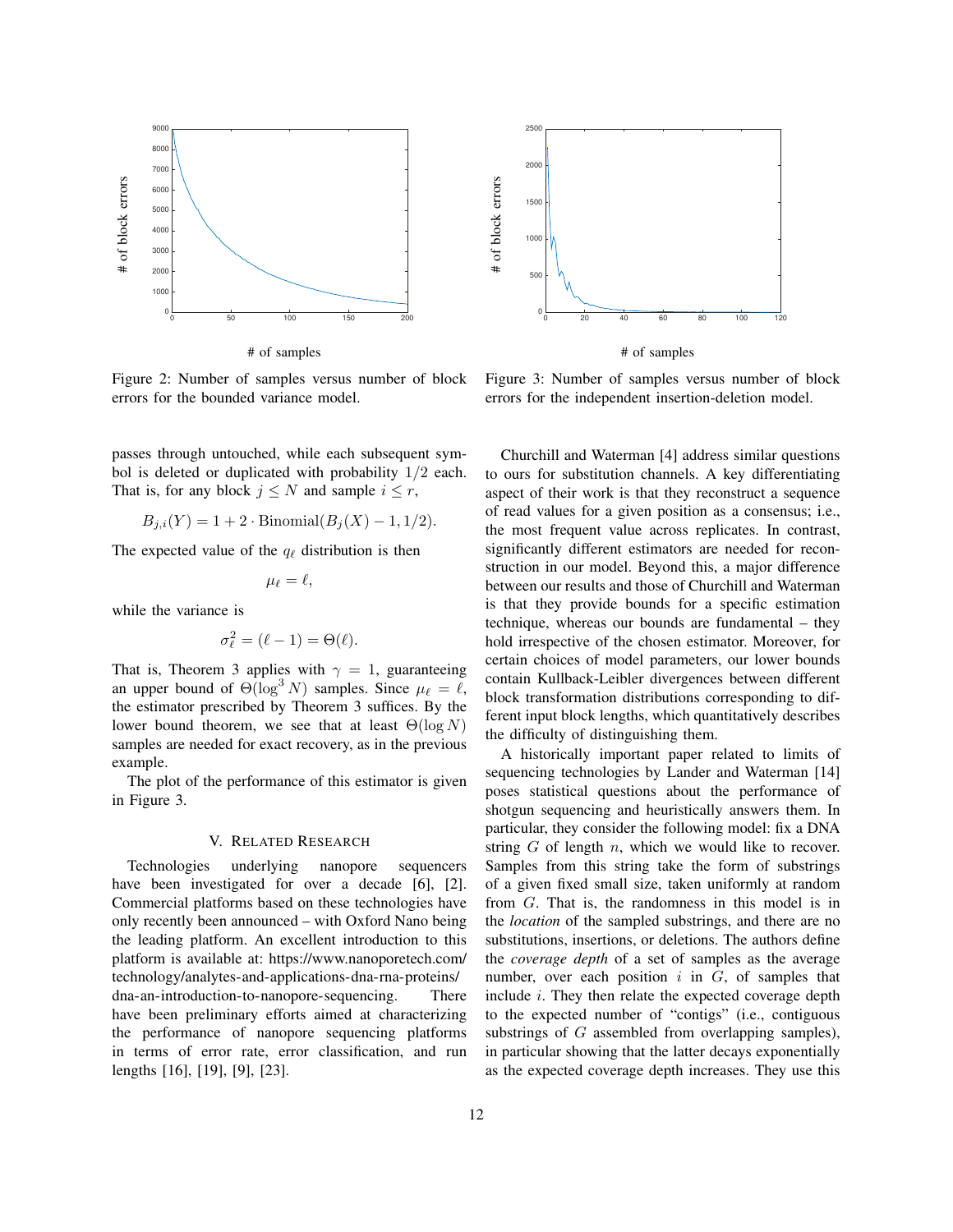

Figure 2: Number of samples versus number of block errors for the bounded variance model.

passes through untouched, while each subsequent symbol is deleted or duplicated with probability 1/2 each. That is, for any block  $j \leq N$  and sample  $i \leq r$ ,

$$
B_{j,i}(Y) = 1 + 2 \cdot \text{Binomial}(B_j(X) - 1, 1/2).
$$

The expected value of the  $q_\ell$  distribution is then

$$
\mu_{\ell}=\ell,
$$

while the variance is

$$
\sigma_{\ell}^2 = (\ell - 1) = \Theta(\ell).
$$

That is, Theorem 3 applies with  $\gamma = 1$ , guaranteeing an upper bound of  $\Theta(\log^3 N)$  samples. Since  $\mu_\ell = \ell$ , the estimator prescribed by Theorem 3 suffices. By the lower bound theorem, we see that at least  $\Theta(\log N)$ samples are needed for exact recovery, as in the previous example.

The plot of the performance of this estimator is given in Figure 3.

#### V. RELATED RESEARCH

Technologies underlying nanopore sequencers have been investigated for over a decade [6], [2]. Commercial platforms based on these technologies have only recently been announced – with Oxford Nano being the leading platform. An excellent introduction to this platform is available at: https://www.nanoporetech.com/ technology/analytes-and-applications-dna-rna-proteins/ dna-an-introduction-to-nanopore-sequencing. There have been preliminary efforts aimed at characterizing the performance of nanopore sequencing platforms in terms of error rate, error classification, and run lengths [16], [19], [9], [23].



# of samples

Figure 3: Number of samples versus number of block errors for the independent insertion-deletion model.

Churchill and Waterman [4] address similar questions to ours for substitution channels. A key differentiating aspect of their work is that they reconstruct a sequence of read values for a given position as a consensus; i.e., the most frequent value across replicates. In contrast, significantly different estimators are needed for reconstruction in our model. Beyond this, a major difference between our results and those of Churchill and Waterman is that they provide bounds for a specific estimation technique, whereas our bounds are fundamental – they hold irrespective of the chosen estimator. Moreover, for certain choices of model parameters, our lower bounds contain Kullback-Leibler divergences between different block transformation distributions corresponding to different input block lengths, which quantitatively describes the difficulty of distinguishing them.

A historically important paper related to limits of sequencing technologies by Lander and Waterman [14] poses statistical questions about the performance of shotgun sequencing and heuristically answers them. In particular, they consider the following model: fix a DNA string  $G$  of length  $n$ , which we would like to recover. Samples from this string take the form of substrings of a given fixed small size, taken uniformly at random from G. That is, the randomness in this model is in the *location* of the sampled substrings, and there are no substitutions, insertions, or deletions. The authors define the *coverage depth* of a set of samples as the average number, over each position  $i$  in  $G$ , of samples that include i. They then relate the expected coverage depth to the expected number of "contigs" (i.e., contiguous substrings of  $G$  assembled from overlapping samples), in particular showing that the latter decays exponentially as the expected coverage depth increases. They use this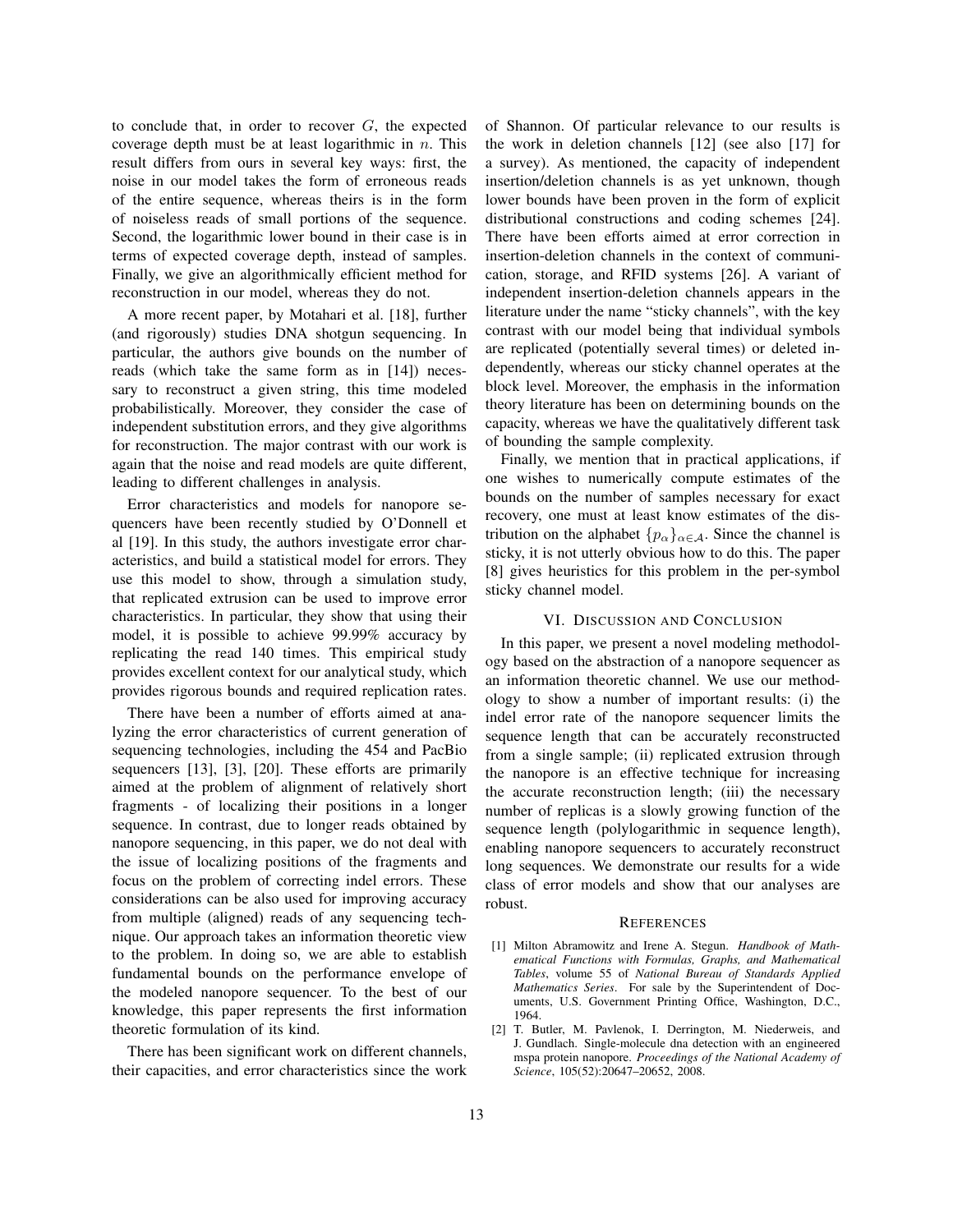to conclude that, in order to recover  $G$ , the expected coverage depth must be at least logarithmic in  $n$ . This result differs from ours in several key ways: first, the noise in our model takes the form of erroneous reads of the entire sequence, whereas theirs is in the form of noiseless reads of small portions of the sequence. Second, the logarithmic lower bound in their case is in terms of expected coverage depth, instead of samples. Finally, we give an algorithmically efficient method for reconstruction in our model, whereas they do not.

A more recent paper, by Motahari et al. [18], further (and rigorously) studies DNA shotgun sequencing. In particular, the authors give bounds on the number of reads (which take the same form as in [14]) necessary to reconstruct a given string, this time modeled probabilistically. Moreover, they consider the case of independent substitution errors, and they give algorithms for reconstruction. The major contrast with our work is again that the noise and read models are quite different, leading to different challenges in analysis.

Error characteristics and models for nanopore sequencers have been recently studied by O'Donnell et al [19]. In this study, the authors investigate error characteristics, and build a statistical model for errors. They use this model to show, through a simulation study, that replicated extrusion can be used to improve error characteristics. In particular, they show that using their model, it is possible to achieve 99.99% accuracy by replicating the read 140 times. This empirical study provides excellent context for our analytical study, which provides rigorous bounds and required replication rates.

There have been a number of efforts aimed at analyzing the error characteristics of current generation of sequencing technologies, including the 454 and PacBio sequencers [13], [3], [20]. These efforts are primarily aimed at the problem of alignment of relatively short fragments - of localizing their positions in a longer sequence. In contrast, due to longer reads obtained by nanopore sequencing, in this paper, we do not deal with the issue of localizing positions of the fragments and focus on the problem of correcting indel errors. These considerations can be also used for improving accuracy from multiple (aligned) reads of any sequencing technique. Our approach takes an information theoretic view to the problem. In doing so, we are able to establish fundamental bounds on the performance envelope of the modeled nanopore sequencer. To the best of our knowledge, this paper represents the first information theoretic formulation of its kind.

There has been significant work on different channels, their capacities, and error characteristics since the work of Shannon. Of particular relevance to our results is the work in deletion channels [12] (see also [17] for a survey). As mentioned, the capacity of independent insertion/deletion channels is as yet unknown, though lower bounds have been proven in the form of explicit distributional constructions and coding schemes [24]. There have been efforts aimed at error correction in insertion-deletion channels in the context of communication, storage, and RFID systems [26]. A variant of independent insertion-deletion channels appears in the literature under the name "sticky channels", with the key contrast with our model being that individual symbols are replicated (potentially several times) or deleted independently, whereas our sticky channel operates at the block level. Moreover, the emphasis in the information theory literature has been on determining bounds on the capacity, whereas we have the qualitatively different task of bounding the sample complexity.

Finally, we mention that in practical applications, if one wishes to numerically compute estimates of the bounds on the number of samples necessary for exact recovery, one must at least know estimates of the distribution on the alphabet  $\{p_{\alpha}\}_{{\alpha}\in\mathcal{A}}$ . Since the channel is sticky, it is not utterly obvious how to do this. The paper [8] gives heuristics for this problem in the per-symbol sticky channel model.

## VI. DISCUSSION AND CONCLUSION

In this paper, we present a novel modeling methodology based on the abstraction of a nanopore sequencer as an information theoretic channel. We use our methodology to show a number of important results: (i) the indel error rate of the nanopore sequencer limits the sequence length that can be accurately reconstructed from a single sample; (ii) replicated extrusion through the nanopore is an effective technique for increasing the accurate reconstruction length; (iii) the necessary number of replicas is a slowly growing function of the sequence length (polylogarithmic in sequence length), enabling nanopore sequencers to accurately reconstruct long sequences. We demonstrate our results for a wide class of error models and show that our analyses are robust.

#### **REFERENCES**

- [1] Milton Abramowitz and Irene A. Stegun. *Handbook of Mathematical Functions with Formulas, Graphs, and Mathematical Tables*, volume 55 of *National Bureau of Standards Applied Mathematics Series*. For sale by the Superintendent of Documents, U.S. Government Printing Office, Washington, D.C., 1964.
- [2] T. Butler, M. Pavlenok, I. Derrington, M. Niederweis, and J. Gundlach. Single-molecule dna detection with an engineered mspa protein nanopore. *Proceedings of the National Academy of Science*, 105(52):20647–20652, 2008.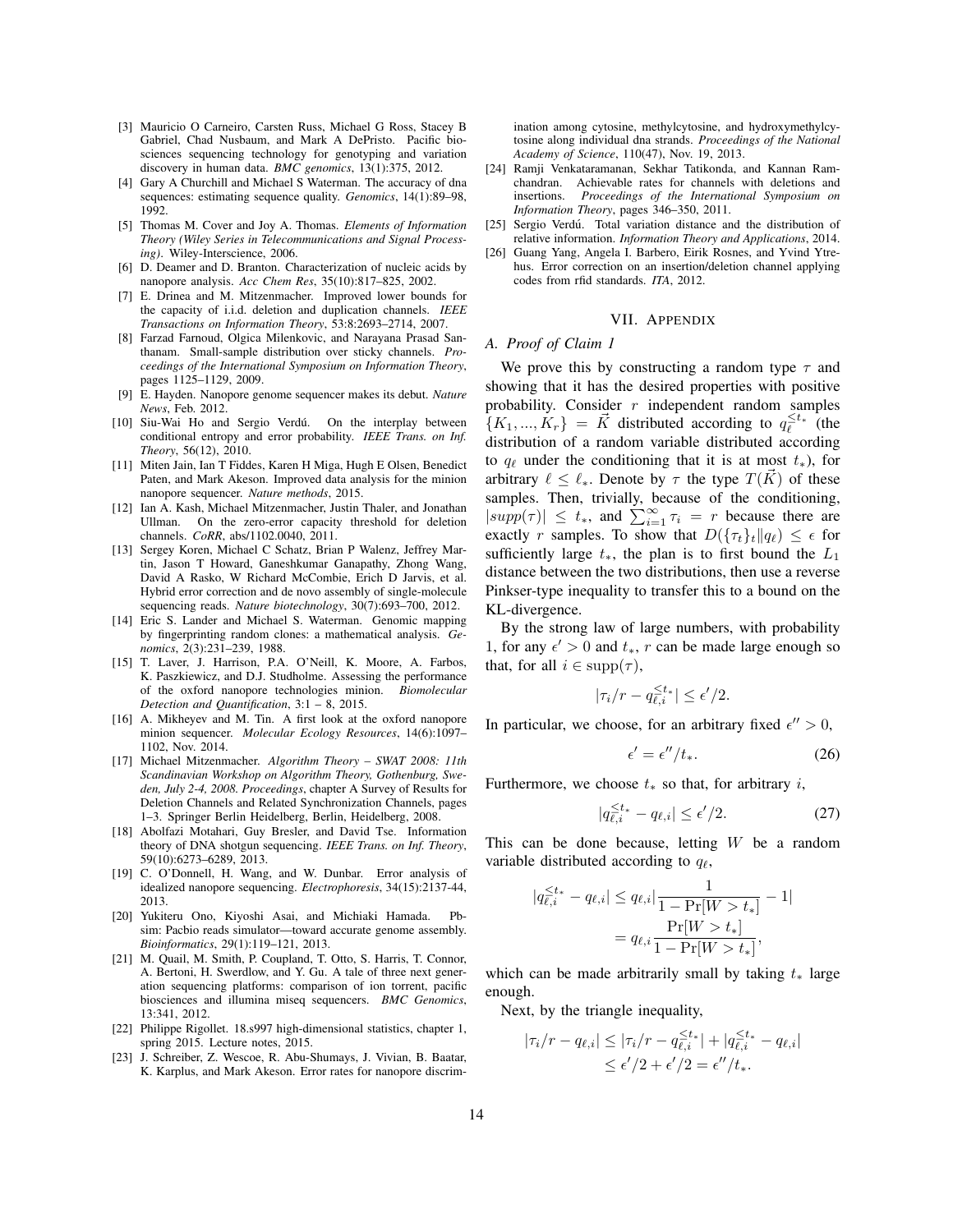- [3] Mauricio O Carneiro, Carsten Russ, Michael G Ross, Stacey B Gabriel, Chad Nusbaum, and Mark A DePristo. Pacific biosciences sequencing technology for genotyping and variation discovery in human data. *BMC genomics*, 13(1):375, 2012.
- [4] Gary A Churchill and Michael S Waterman. The accuracy of dna sequences: estimating sequence quality. *Genomics*, 14(1):89–98, 1992.
- [5] Thomas M. Cover and Joy A. Thomas. *Elements of Information Theory (Wiley Series in Telecommunications and Signal Processing)*. Wiley-Interscience, 2006.
- [6] D. Deamer and D. Branton. Characterization of nucleic acids by nanopore analysis. *Acc Chem Res*, 35(10):817–825, 2002.
- [7] E. Drinea and M. Mitzenmacher. Improved lower bounds for the capacity of i.i.d. deletion and duplication channels. *IEEE Transactions on Information Theory*, 53:8:2693–2714, 2007.
- [8] Farzad Farnoud, Olgica Milenkovic, and Narayana Prasad Santhanam. Small-sample distribution over sticky channels. *Proceedings of the International Symposium on Information Theory*, pages 1125–1129, 2009.
- [9] E. Hayden. Nanopore genome sequencer makes its debut. *Nature News*, Feb. 2012.
- [10] Siu-Wai Ho and Sergio Verdú. On the interplay between conditional entropy and error probability. *IEEE Trans. on Inf. Theory*, 56(12), 2010.
- [11] Miten Jain, Ian T Fiddes, Karen H Miga, Hugh E Olsen, Benedict Paten, and Mark Akeson. Improved data analysis for the minion nanopore sequencer. *Nature methods*, 2015.
- [12] Ian A. Kash, Michael Mitzenmacher, Justin Thaler, and Jonathan Ullman. On the zero-error capacity threshold for deletion channels. *CoRR*, abs/1102.0040, 2011.
- [13] Sergey Koren, Michael C Schatz, Brian P Walenz, Jeffrey Martin, Jason T Howard, Ganeshkumar Ganapathy, Zhong Wang, David A Rasko, W Richard McCombie, Erich D Jarvis, et al. Hybrid error correction and de novo assembly of single-molecule sequencing reads. *Nature biotechnology*, 30(7):693–700, 2012.
- [14] Eric S. Lander and Michael S. Waterman. Genomic mapping by fingerprinting random clones: a mathematical analysis. *Genomics*, 2(3):231–239, 1988.
- [15] T. Laver, J. Harrison, P.A. O'Neill, K. Moore, A. Farbos, K. Paszkiewicz, and D.J. Studholme. Assessing the performance<br>of the oxford nanopore technologies minion *Biomolecular* of the oxford nanopore technologies minion. *Detection and Quantification*, 3:1 – 8, 2015.
- [16] A. Mikheyev and M. Tin. A first look at the oxford nanopore minion sequencer. *Molecular Ecology Resources*, 14(6):1097– 1102, Nov. 2014.
- [17] Michael Mitzenmacher. *Algorithm Theory SWAT 2008: 11th Scandinavian Workshop on Algorithm Theory, Gothenburg, Sweden, July 2-4, 2008. Proceedings*, chapter A Survey of Results for Deletion Channels and Related Synchronization Channels, pages 1–3. Springer Berlin Heidelberg, Berlin, Heidelberg, 2008.
- [18] Abolfazi Motahari, Guy Bresler, and David Tse. Information theory of DNA shotgun sequencing. *IEEE Trans. on Inf. Theory*, 59(10):6273–6289, 2013.
- [19] C. O'Donnell, H. Wang, and W. Dunbar. Error analysis of idealized nanopore sequencing. *Electrophoresis*, 34(15):2137-44, 2013.
- [20] Yukiteru Ono, Kiyoshi Asai, and Michiaki Hamada. Pbsim: Pacbio reads simulator—toward accurate genome assembly. *Bioinformatics*, 29(1):119–121, 2013.
- [21] M. Quail, M. Smith, P. Coupland, T. Otto, S. Harris, T. Connor, A. Bertoni, H. Swerdlow, and Y. Gu. A tale of three next generation sequencing platforms: comparison of ion torrent, pacific biosciences and illumina miseq sequencers. *BMC Genomics*, 13:341, 2012.
- [22] Philippe Rigollet. 18.s997 high-dimensional statistics, chapter 1, spring 2015. Lecture notes, 2015.
- [23] J. Schreiber, Z. Wescoe, R. Abu-Shumays, J. Vivian, B. Baatar, K. Karplus, and Mark Akeson. Error rates for nanopore discrim-

ination among cytosine, methylcytosine, and hydroxymethylcytosine along individual dna strands. *Proceedings of the National Academy of Science*, 110(47), Nov. 19, 2013.

- [24] Ramji Venkataramanan, Sekhar Tatikonda, and Kannan Ramchandran. Achievable rates for channels with deletions and insertions. *Proceedings of the International Symposium on Information Theory*, pages 346–350, 2011.
- [25] Sergio Verdú. Total variation distance and the distribution of relative information. *Information Theory and Applications*, 2014.
- [26] Guang Yang, Angela I. Barbero, Eirik Rosnes, and Yvind Ytrehus. Error correction on an insertion/deletion channel applying codes from rfid standards. *ITA*, 2012.

#### VII. APPENDIX

#### *A. Proof of Claim 1*

We prove this by constructing a random type  $\tau$  and showing that it has the desired properties with positive probability. Consider  $r$  independent random samples  $\{K_1, ..., K_r\} = \vec{K}$  distributed according to  $q_{\ell}^{\leq t_*}$  (the distribution of a random variable distributed according to  $q_\ell$  under the conditioning that it is at most  $t_*$ ), for arbitrary  $\ell \leq \ell_*$ . Denote by  $\tau$  the type  $T(K)$  of these samples. Then, trivially, because of the conditioning,  $|supp(\tau)| \leq t_*$ , and  $\sum_{i=1}^{\infty} \tau_i = r$  because there are exactly r samples. To show that  $D(\{\tau_t\}_t||q_\ell) \leq \epsilon$  for sufficiently large  $t_*,$  the plan is to first bound the  $L_1$ distance between the two distributions, then use a reverse Pinkser-type inequality to transfer this to a bound on the KL-divergence.

By the strong law of large numbers, with probability 1, for any  $\epsilon' > 0$  and  $t_*, r$  can be made large enough so that, for all  $i \in \text{supp}(\tau)$ ,

$$
|\tau_i/r - q_{\ell,i}^{\leq t_*}| \leq \epsilon'/2.
$$

In particular, we choose, for an arbitrary fixed  $\epsilon'' > 0$ ,

$$
\epsilon' = \epsilon''/t_*. \tag{26}
$$

Furthermore, we choose  $t_*$  so that, for arbitrary i,

$$
|q_{\ell,i}^{\leq t_*} - q_{\ell,i}| \leq \epsilon'/2. \tag{27}
$$

This can be done because, letting  $W$  be a random variable distributed according to  $q_\ell$ ,

$$
|q_{\ell,i}^{\leq t_*} - q_{\ell,i}| \leq q_{\ell,i} |\frac{1}{1 - \Pr[W > t_*]} - 1|
$$
  
=  $q_{\ell,i} \frac{\Pr[W > t_*]}{1 - \Pr[W > t_*]},$ 

which can be made arbitrarily small by taking  $t_*$  large enough.

Next, by the triangle inequality,

$$
|\tau_i/r - q_{\ell,i}| \le |\tau_i/r - q_{\ell,i}^{\le t_*}| + |q_{\ell,i}^{\le t_*} - q_{\ell,i}|
$$
  

$$
\le \epsilon'/2 + \epsilon'/2 = \epsilon''/t_*.
$$